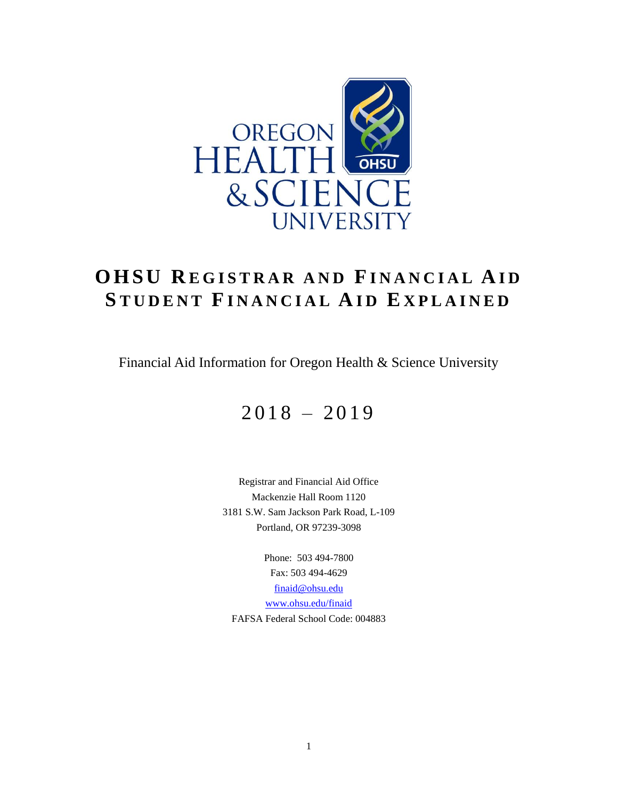

# **O H S U R E G I S T R A R A N D FI N A N C I A L A I D S T U D E N T FI N A N C I A L A I D E X P L A I N E D**

Financial Aid Information for Oregon Health & Science University

# $2018 - 2019$

Registrar and Financial Aid Office Mackenzie Hall Room 1120 3181 S.W. Sam Jackson Park Road, L-109 Portland, OR 97239-3098

Phone: 503 494-7800 Fax: 503 494-4629 [finaid@ohsu.edu](mailto:finaid@ohsu.edu) [www.ohsu.edu/finaid](http://www.ohsu.edu/finaid) FAFSA Federal School Code: 004883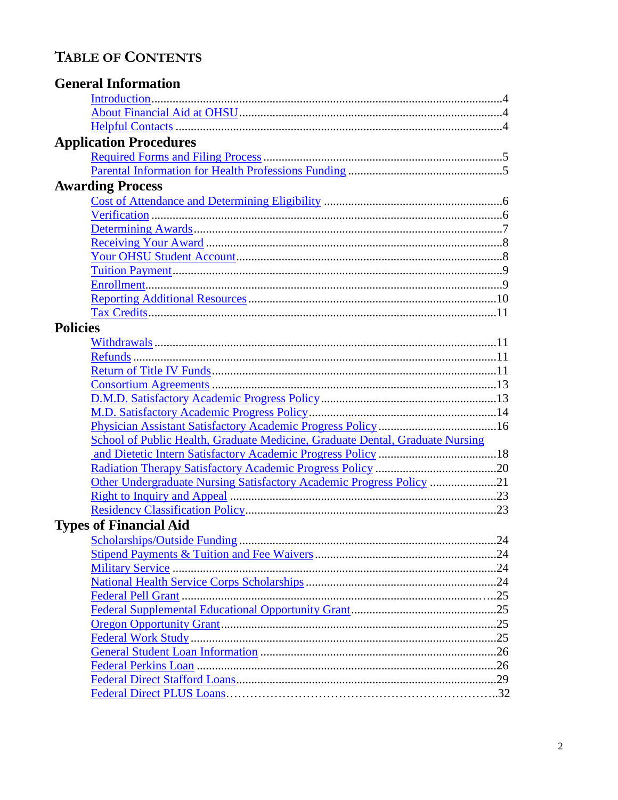## TABLE OF CONTENTS

|                 | <b>General Information</b>                                                    |  |
|-----------------|-------------------------------------------------------------------------------|--|
|                 |                                                                               |  |
|                 |                                                                               |  |
|                 |                                                                               |  |
|                 | <b>Application Procedures</b>                                                 |  |
|                 |                                                                               |  |
|                 |                                                                               |  |
|                 | <b>Awarding Process</b>                                                       |  |
|                 |                                                                               |  |
|                 |                                                                               |  |
|                 |                                                                               |  |
|                 |                                                                               |  |
|                 |                                                                               |  |
|                 |                                                                               |  |
|                 |                                                                               |  |
|                 |                                                                               |  |
|                 |                                                                               |  |
| <b>Policies</b> |                                                                               |  |
|                 |                                                                               |  |
|                 |                                                                               |  |
|                 |                                                                               |  |
|                 |                                                                               |  |
|                 |                                                                               |  |
|                 |                                                                               |  |
|                 |                                                                               |  |
|                 | School of Public Health, Graduate Medicine, Graduate Dental, Graduate Nursing |  |
|                 |                                                                               |  |
|                 |                                                                               |  |
|                 |                                                                               |  |
|                 |                                                                               |  |
|                 |                                                                               |  |
|                 | <b>Types of Financial Aid</b>                                                 |  |
|                 |                                                                               |  |
|                 |                                                                               |  |
|                 |                                                                               |  |
|                 |                                                                               |  |
|                 |                                                                               |  |
|                 |                                                                               |  |
|                 |                                                                               |  |
|                 |                                                                               |  |
|                 |                                                                               |  |
|                 |                                                                               |  |
|                 |                                                                               |  |
|                 |                                                                               |  |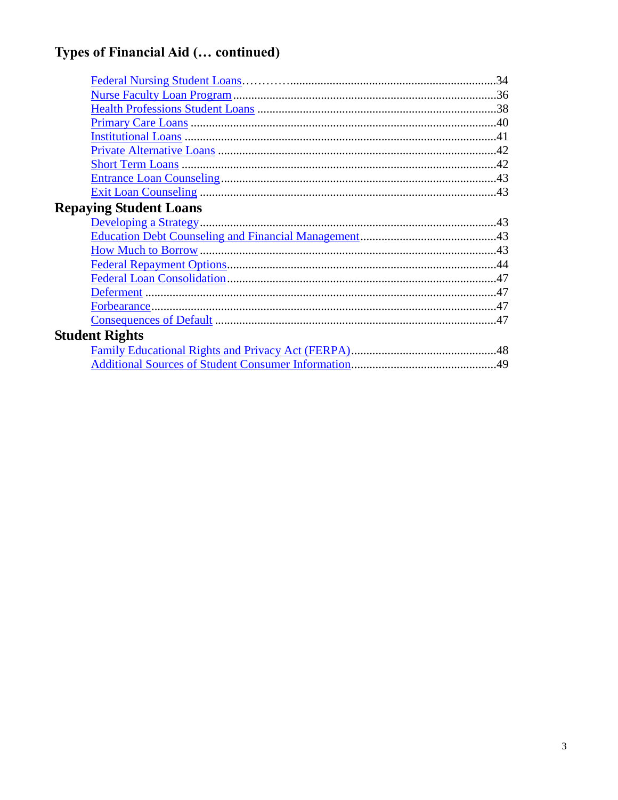# Types of Financial Aid (... continued)

|                               | .34 |
|-------------------------------|-----|
|                               |     |
|                               |     |
|                               |     |
|                               |     |
|                               |     |
|                               |     |
|                               |     |
|                               |     |
| <b>Repaying Student Loans</b> |     |
|                               |     |
|                               |     |
|                               |     |
|                               |     |
|                               |     |
|                               |     |
|                               |     |
|                               |     |
| <b>Student Rights</b>         |     |
|                               |     |
|                               |     |
|                               |     |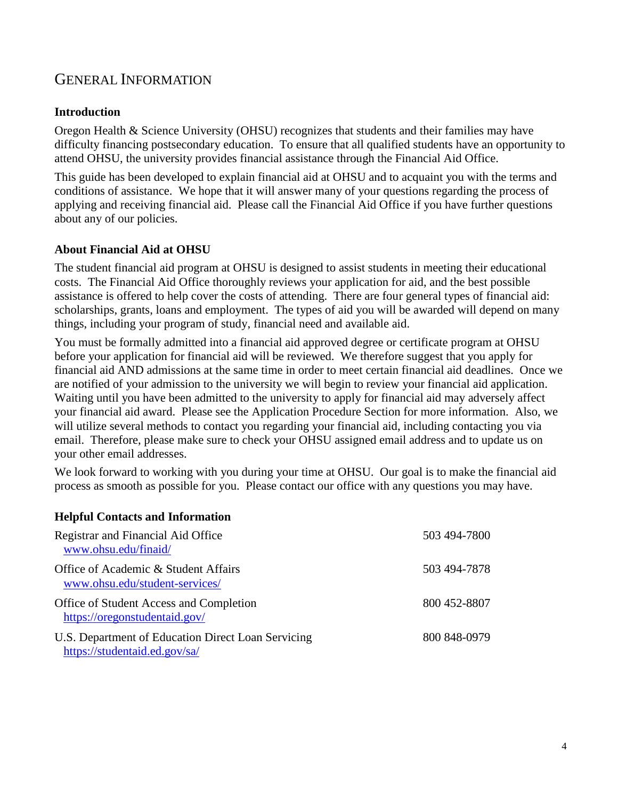## GENERAL INFORMATION

#### <span id="page-3-0"></span>**Introduction**

Oregon Health & Science University (OHSU) recognizes that students and their families may have difficulty financing postsecondary education. To ensure that all qualified students have an opportunity to attend OHSU, the university provides financial assistance through the Financial Aid Office.

This guide has been developed to explain financial aid at OHSU and to acquaint you with the terms and conditions of assistance. We hope that it will answer many of your questions regarding the process of applying and receiving financial aid. Please call the Financial Aid Office if you have further questions about any of our policies.

#### <span id="page-3-1"></span>**About Financial Aid at OHSU**

The student financial aid program at OHSU is designed to assist students in meeting their educational costs. The Financial Aid Office thoroughly reviews your application for aid, and the best possible assistance is offered to help cover the costs of attending. There are four general types of financial aid: scholarships, grants, loans and employment. The types of aid you will be awarded will depend on many things, including your program of study, financial need and available aid.

You must be formally admitted into a financial aid approved degree or certificate program at OHSU before your application for financial aid will be reviewed. We therefore suggest that you apply for financial aid AND admissions at the same time in order to meet certain financial aid deadlines. Once we are notified of your admission to the university we will begin to review your financial aid application. Waiting until you have been admitted to the university to apply for financial aid may adversely affect your financial aid award. Please see the Application Procedure Section for more information. Also, we will utilize several methods to contact you regarding your financial aid, including contacting you via email. Therefore, please make sure to check your OHSU assigned email address and to update us on your other email addresses.

We look forward to working with you during your time at OHSU. Our goal is to make the financial aid process as smooth as possible for you. Please contact our office with any questions you may have.

#### <span id="page-3-2"></span>**Helpful Contacts and Information**

| Registrar and Financial Aid Office<br>www.ohsu.edu/finaid/                          | 503 494-7800 |
|-------------------------------------------------------------------------------------|--------------|
| Office of Academic & Student Affairs<br>www.ohsu.edu/student-services/              | 503 494-7878 |
| Office of Student Access and Completion<br>https://oregonstudentaid.gov/            | 800 452-8807 |
| U.S. Department of Education Direct Loan Servicing<br>https://studentaid.ed.gov/sa/ | 800 848-0979 |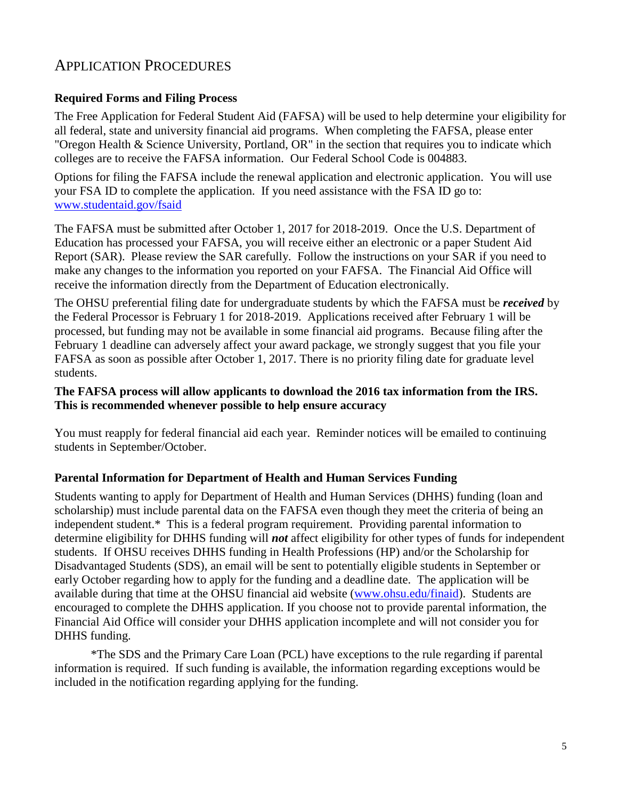## APPLICATION PROCEDURES

#### <span id="page-4-0"></span>**Required Forms and Filing Process**

The Free Application for Federal Student Aid (FAFSA) will be used to help determine your eligibility for all federal, state and university financial aid programs. When completing the FAFSA, please enter "Oregon Health & Science University, Portland, OR" in the section that requires you to indicate which colleges are to receive the FAFSA information. Our Federal School Code is 004883.

Options for filing the FAFSA include the renewal application and electronic application.You will use your FSA ID to complete the application. If you need assistance with the FSA ID go to: [www.studentaid.gov/fsaid](http://www.studentaid.gov/fsaid)

The FAFSA must be submitted after October 1, 2017 for 2018-2019. Once the U.S. Department of Education has processed your FAFSA, you will receive either an electronic or a paper Student Aid Report (SAR). Please review the SAR carefully. Follow the instructions on your SAR if you need to make any changes to the information you reported on your FAFSA. The Financial Aid Office will receive the information directly from the Department of Education electronically.

The OHSU preferential filing date for undergraduate students by which the FAFSA must be *received* by the Federal Processor is February 1 for 2018-2019. Applications received after February 1 will be processed, but funding may not be available in some financial aid programs. Because filing after the February 1 deadline can adversely affect your award package, we strongly suggest that you file your FAFSA as soon as possible after October 1, 2017. There is no priority filing date for graduate level students.

#### **The FAFSA process will allow applicants to download the 2016 tax information from the IRS. This is recommended whenever possible to help ensure accuracy**

You must reapply for federal financial aid each year. Reminder notices will be emailed to continuing students in September/October.

#### <span id="page-4-1"></span>**Parental Information for Department of Health and Human Services Funding**

Students wanting to apply for Department of Health and Human Services (DHHS) funding (loan and scholarship) must include parental data on the FAFSA even though they meet the criteria of being an independent student.\* This is a federal program requirement. Providing parental information to determine eligibility for DHHS funding will *not* affect eligibility for other types of funds for independent students. If OHSU receives DHHS funding in Health Professions (HP) and/or the Scholarship for Disadvantaged Students (SDS), an email will be sent to potentially eligible students in September or early October regarding how to apply for the funding and a deadline date. The application will be available during that time at the OHSU financial aid website [\(www.ohsu.edu/finaid\)](http://www.ohsu.edu/finaid). Students are encouraged to complete the DHHS application. If you choose not to provide parental information, the Financial Aid Office will consider your DHHS application incomplete and will not consider you for DHHS funding.

\*The SDS and the Primary Care Loan (PCL) have exceptions to the rule regarding if parental information is required. If such funding is available, the information regarding exceptions would be included in the notification regarding applying for the funding.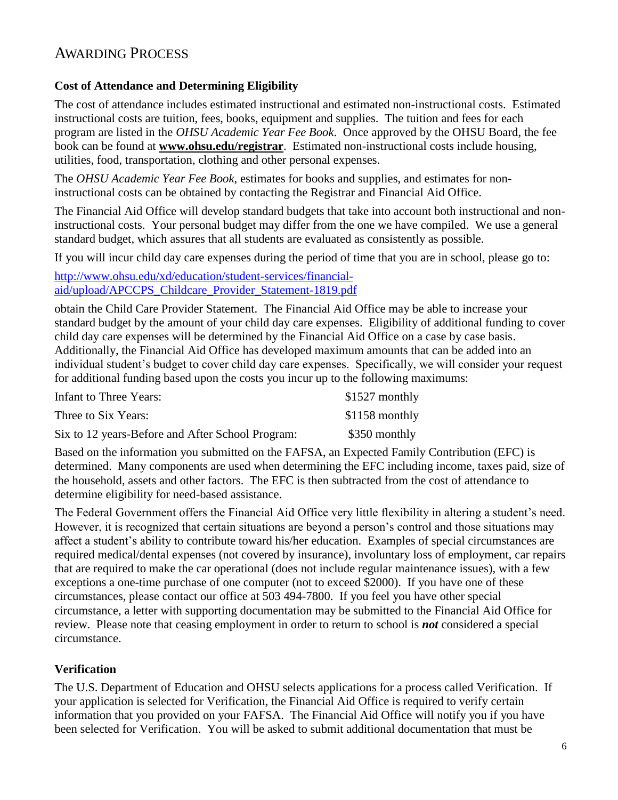## AWARDING PROCESS

#### <span id="page-5-0"></span>**Cost of Attendance and Determining Eligibility**

The cost of attendance includes estimated instructional and estimated non-instructional costs. Estimated instructional costs are tuition, fees, books, equipment and supplies. The tuition and fees for each program are listed in the *OHSU Academic Year Fee Book*. Once approved by the OHSU Board, the fee book can be found at **[www.ohsu.edu/registrar](http://www.ohsu.edu/registrar/)**. Estimated non-instructional costs include housing, utilities, food, transportation, clothing and other personal expenses.

The *OHSU Academic Year Fee Book*, estimates for books and supplies, and estimates for noninstructional costs can be obtained by contacting the Registrar and Financial Aid Office.

The Financial Aid Office will develop standard budgets that take into account both instructional and noninstructional costs. Your personal budget may differ from the one we have compiled. We use a general standard budget, which assures that all students are evaluated as consistently as possible.

If you will incur child day care expenses during the period of time that you are in school, please go to:

[http://www.ohsu.edu/xd/education/student-services/financial](http://www.ohsu.edu/xd/education/student-services/financial-aid/upload/APCCPS_Childcare_Provider_Statement-1819.pdf)[aid/upload/APCCPS\\_Childcare\\_Provider\\_Statement-1819.pdf](http://www.ohsu.edu/xd/education/student-services/financial-aid/upload/APCCPS_Childcare_Provider_Statement-1819.pdf)

obtain the Child Care Provider Statement. The Financial Aid Office may be able to increase your standard budget by the amount of your child day care expenses. Eligibility of additional funding to cover child day care expenses will be determined by the Financial Aid Office on a case by case basis. Additionally, the Financial Aid Office has developed maximum amounts that can be added into an individual student's budget to cover child day care expenses. Specifically, we will consider your request for additional funding based upon the costs you incur up to the following maximums:

| Infant to Three Years:                           | $$1527$ monthly |
|--------------------------------------------------|-----------------|
| Three to Six Years:                              | $$1158$ monthly |
| Six to 12 years-Before and After School Program: | \$350 monthly   |

Based on the information you submitted on the FAFSA, an Expected Family Contribution (EFC) is determined. Many components are used when determining the EFC including income, taxes paid, size of the household, assets and other factors. The EFC is then subtracted from the cost of attendance to determine eligibility for need-based assistance.

The Federal Government offers the Financial Aid Office very little flexibility in altering a student's need. However, it is recognized that certain situations are beyond a person's control and those situations may affect a student's ability to contribute toward his/her education. Examples of special circumstances are required medical/dental expenses (not covered by insurance), involuntary loss of employment, car repairs that are required to make the car operational (does not include regular maintenance issues), with a few exceptions a one-time purchase of one computer (not to exceed \$2000). If you have one of these circumstances, please contact our office at 503 494-7800. If you feel you have other special circumstance, a letter with supporting documentation may be submitted to the Financial Aid Office for review. Please note that ceasing employment in order to return to school is *not* considered a special circumstance.

#### <span id="page-5-1"></span>**Verification**

The U.S. Department of Education and OHSU selects applications for a process called Verification. If your application is selected for Verification, the Financial Aid Office is required to verify certain information that you provided on your FAFSA. The Financial Aid Office will notify you if you have been selected for Verification. You will be asked to submit additional documentation that must be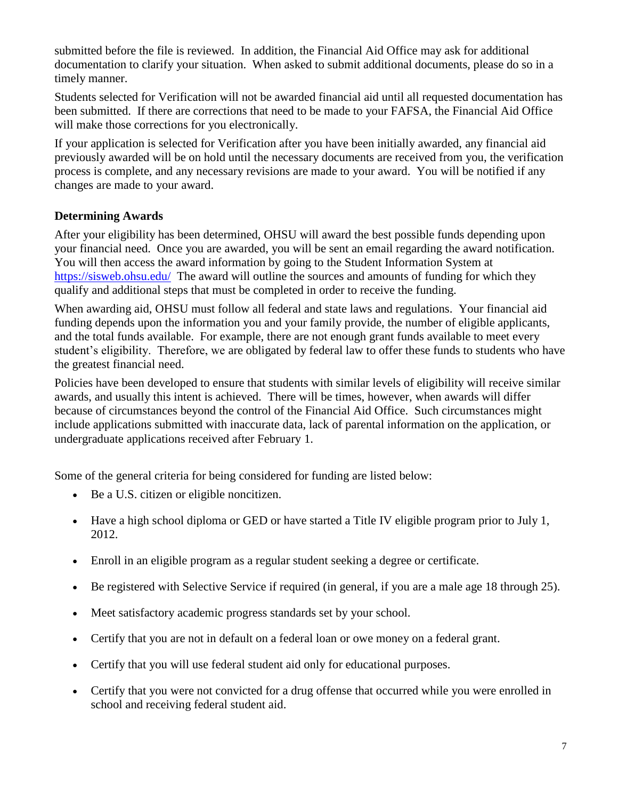submitted before the file is reviewed. In addition, the Financial Aid Office may ask for additional documentation to clarify your situation. When asked to submit additional documents, please do so in a timely manner.

Students selected for Verification will not be awarded financial aid until all requested documentation has been submitted. If there are corrections that need to be made to your FAFSA, the Financial Aid Office will make those corrections for you electronically.

If your application is selected for Verification after you have been initially awarded, any financial aid previously awarded will be on hold until the necessary documents are received from you, the verification process is complete, and any necessary revisions are made to your award. You will be notified if any changes are made to your award.

#### <span id="page-6-0"></span>**Determining Awards**

After your eligibility has been determined, OHSU will award the best possible funds depending upon your financial need. Once you are awarded, you will be sent an email regarding the award notification. You will then access the award information by going to the Student Information System at <https://sisweb.ohsu.edu/>The award will outline the sources and amounts of funding for which they qualify and additional steps that must be completed in order to receive the funding.

When awarding aid, OHSU must follow all federal and state laws and regulations. Your financial aid funding depends upon the information you and your family provide, the number of eligible applicants, and the total funds available. For example, there are not enough grant funds available to meet every student's eligibility. Therefore, we are obligated by federal law to offer these funds to students who have the greatest financial need.

Policies have been developed to ensure that students with similar levels of eligibility will receive similar awards, and usually this intent is achieved. There will be times, however, when awards will differ because of circumstances beyond the control of the Financial Aid Office. Such circumstances might include applications submitted with inaccurate data, lack of parental information on the application, or undergraduate applications received after February 1.

Some of the general criteria for being considered for funding are listed below:

- Be a U.S. citizen or eligible noncitizen.
- Have a high school diploma or GED or have started a Title IV eligible program prior to July 1, 2012.
- Enroll in an eligible program as a regular student seeking a degree or certificate.
- Be registered with Selective Service if required (in general, if you are a male age 18 through 25).
- Meet satisfactory academic progress standards set by your school.
- Certify that you are not in default on a federal loan or owe money on a federal grant.
- Certify that you will use federal student aid only for educational purposes.
- Certify that you were not convicted for a drug offense that occurred while you were enrolled in school and receiving federal student aid.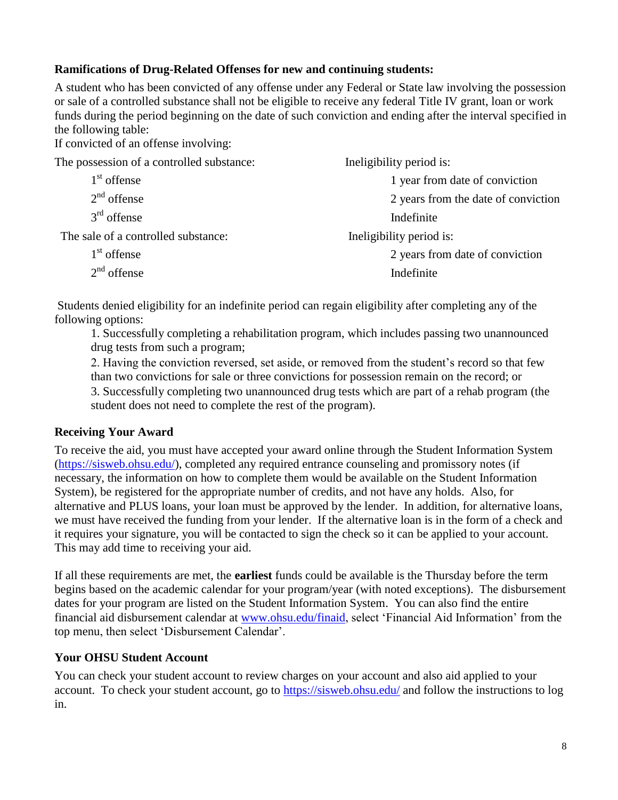#### **Ramifications of Drug-Related Offenses for new and continuing students:**

A student who has been convicted of any offense under any Federal or State law involving the possession or sale of a controlled substance shall not be eligible to receive any federal Title IV grant, loan or work funds during the period beginning on the date of such conviction and ending after the interval specified in the following table:

If convicted of an offense involving:

| The possession of a controlled substance: | Ineligibility period is:            |  |
|-------------------------------------------|-------------------------------------|--|
| 1 <sup>st</sup> offense                   | 1 year from date of conviction      |  |
| $2nd$ offense                             | 2 years from the date of conviction |  |
| $3rd$ offense                             | Indefinite                          |  |
| The sale of a controlled substance:       | Ineligibility period is:            |  |
| $1st$ offense                             | 2 years from date of conviction     |  |
| $2nd$ offense                             | Indefinite                          |  |

Students denied eligibility for an indefinite period can regain eligibility after completing any of the following options:

1. Successfully completing a rehabilitation program, which includes passing two unannounced drug tests from such a program;

2. Having the conviction reversed, set aside, or removed from the student's record so that few than two convictions for sale or three convictions for possession remain on the record; or

3. Successfully completing two unannounced drug tests which are part of a rehab program (the student does not need to complete the rest of the program).

#### <span id="page-7-0"></span>**Receiving Your Award**

To receive the aid, you must have accepted your award online through the Student Information System [\(https://sisweb.ohsu.edu/\)](https://sisweb.ohsu.edu/), completed any required entrance counseling and promissory notes (if necessary, the information on how to complete them would be available on the Student Information System), be registered for the appropriate number of credits, and not have any holds. Also, for alternative and PLUS loans, your loan must be approved by the lender. In addition, for alternative loans, we must have received the funding from your lender. If the alternative loan is in the form of a check and it requires your signature, you will be contacted to sign the check so it can be applied to your account. This may add time to receiving your aid.

If all these requirements are met, the **earliest** funds could be available is the Thursday before the term begins based on the academic calendar for your program/year (with noted exceptions). The disbursement dates for your program are listed on the Student Information System. You can also find the entire financial aid disbursement calendar at [www.ohsu.edu/finaid,](http://www.ohsu.edu/finaid) select 'Financial Aid Information' from the top menu, then select 'Disbursement Calendar'.

#### <span id="page-7-1"></span>**Your OHSU Student Account**

You can check your student account to review charges on your account and also aid applied to your account. To check your student account, go to<https://sisweb.ohsu.edu/> and follow the instructions to log in.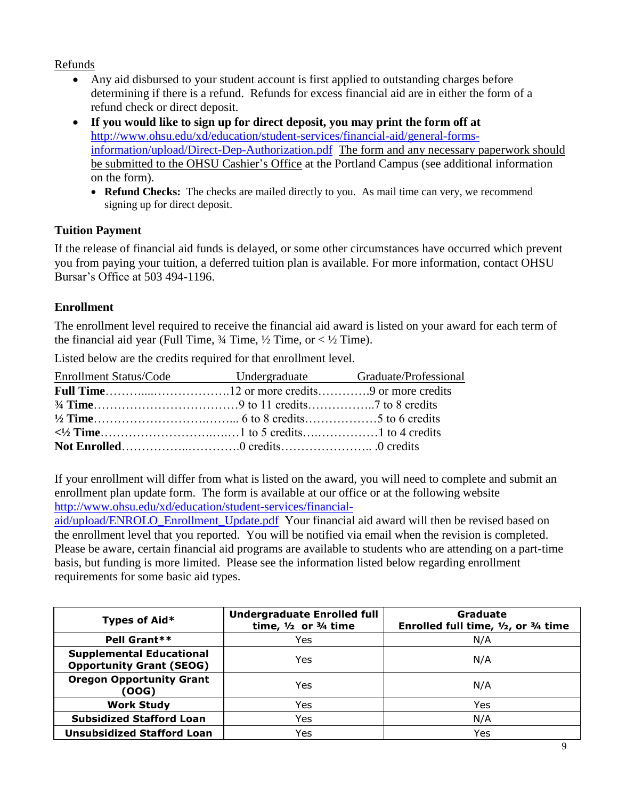#### Refunds

- Any aid disbursed to your student account is first applied to outstanding charges before determining if there is a refund. Refunds for excess financial aid are in either the form of a refund check or direct deposit.
- **If you would like to sign up for direct deposit, you may print the form off at**  [http://www.ohsu.edu/xd/education/student-services/financial-aid/general-forms](http://www.ohsu.edu/xd/education/student-services/financial-aid/general-forms-information/upload/Direct-Dep-Authorization.pdf)[information/upload/Direct-Dep-Authorization.pdf](http://www.ohsu.edu/xd/education/student-services/financial-aid/general-forms-information/upload/Direct-Dep-Authorization.pdf) The form and any necessary paperwork should be submitted to the OHSU Cashier's Office at the Portland Campus (see additional information on the form).
	- **Refund Checks:** The checks are mailed directly to you. As mail time can very, we recommend signing up for direct deposit.

#### <span id="page-8-0"></span>**Tuition Payment**

If the release of financial aid funds is delayed, or some other circumstances have occurred which prevent you from paying your tuition, a deferred tuition plan is available. For more information, contact OHSU Bursar's Office at 503 494-1196.

#### <span id="page-8-1"></span>**Enrollment**

The enrollment level required to receive the financial aid award is listed on your award for each term of the financial aid year (Full Time,  $\frac{3}{4}$  Time,  $\frac{1}{2}$  Time, or  $\lt \frac{1}{2}$  Time).

Listed below are the credits required for that enrollment level.

| Enrollment Status/Code Undergraduate Graduate/Professional |  |
|------------------------------------------------------------|--|
|                                                            |  |
|                                                            |  |
|                                                            |  |
|                                                            |  |
|                                                            |  |

If your enrollment will differ from what is listed on the award, you will need to complete and submit an enrollment plan update form. The form is available at our office or at the following website [http://www.ohsu.edu/xd/education/student-services/financial-](http://www.ohsu.edu/xd/education/student-services/financial-aid/upload/ENROLO_Enrollment_Update.pdf)

[aid/upload/ENROLO\\_Enrollment\\_Update.pdf](http://www.ohsu.edu/xd/education/student-services/financial-aid/upload/ENROLO_Enrollment_Update.pdf) Your financial aid award will then be revised based on the enrollment level that you reported. You will be notified via email when the revision is completed. Please be aware, certain financial aid programs are available to students who are attending on a part-time basis, but funding is more limited. Please see the information listed below regarding enrollment requirements for some basic aid types.

| Types of Aid*                                                      | <b>Undergraduate Enrolled full</b><br>time, $1/2$ or $3/4$ time | Graduate<br>Enrolled full time, $1/2$ , or $3/4$ time |
|--------------------------------------------------------------------|-----------------------------------------------------------------|-------------------------------------------------------|
| Pell Grant**                                                       | Yes                                                             | N/A                                                   |
| <b>Supplemental Educational</b><br><b>Opportunity Grant (SEOG)</b> | Yes                                                             | N/A                                                   |
| <b>Oregon Opportunity Grant</b><br>(00G)                           | Yes                                                             | N/A                                                   |
| <b>Work Study</b>                                                  | Yes                                                             | Yes                                                   |
| <b>Subsidized Stafford Loan</b>                                    | Yes                                                             | N/A                                                   |
| <b>Unsubsidized Stafford Loan</b>                                  | Yes                                                             | Yes                                                   |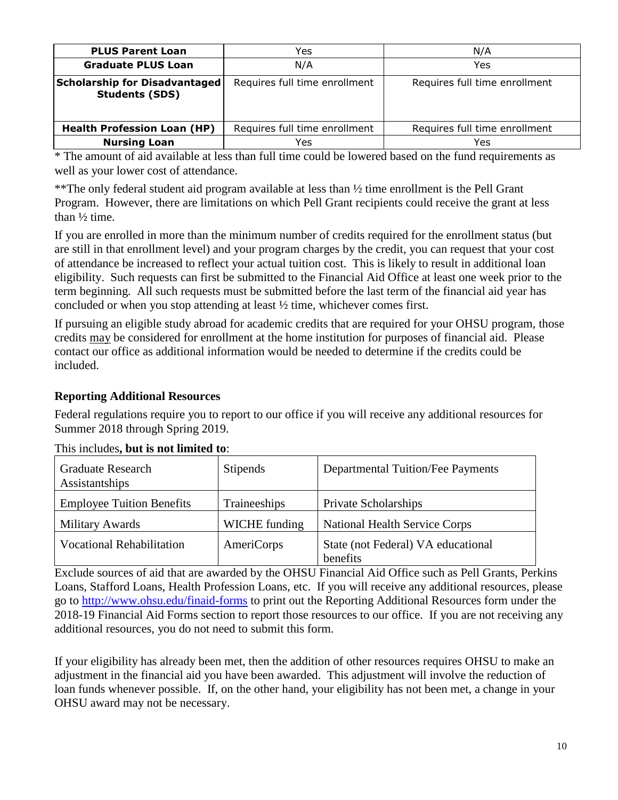| <b>PLUS Parent Loan</b>                                       | Yes                           | N/A                           |  |
|---------------------------------------------------------------|-------------------------------|-------------------------------|--|
| <b>Graduate PLUS Loan</b>                                     | N/A                           | Yes                           |  |
| <b>Scholarship for Disadvantaged</b><br><b>Students (SDS)</b> | Requires full time enrollment | Requires full time enrollment |  |
| <b>Health Profession Loan (HP)</b>                            | Requires full time enrollment | Requires full time enrollment |  |
| <b>Nursing Loan</b>                                           | Yes                           | Yes                           |  |

\* The amount of aid available at less than full time could be lowered based on the fund requirements as well as your lower cost of attendance.

\*\*The only federal student aid program available at less than ½ time enrollment is the Pell Grant Program. However, there are limitations on which Pell Grant recipients could receive the grant at less than ½ time.

If you are enrolled in more than the minimum number of credits required for the enrollment status (but are still in that enrollment level) and your program charges by the credit, you can request that your cost of attendance be increased to reflect your actual tuition cost. This is likely to result in additional loan eligibility. Such requests can first be submitted to the Financial Aid Office at least one week prior to the term beginning. All such requests must be submitted before the last term of the financial aid year has concluded or when you stop attending at least ½ time, whichever comes first.

If pursuing an eligible study abroad for academic credits that are required for your OHSU program, those credits may be considered for enrollment at the home institution for purposes of financial aid. Please contact our office as additional information would be needed to determine if the credits could be included.

#### <span id="page-9-0"></span>**Reporting Additional Resources**

Federal regulations require you to report to our office if you will receive any additional resources for Summer 2018 through Spring 2019.

| <b>Graduate Research</b><br>Assistantships | <b>Stipends</b> | <b>Departmental Tuition/Fee Payments</b>       |
|--------------------------------------------|-----------------|------------------------------------------------|
| <b>Employee Tuition Benefits</b>           | Traineeships    | Private Scholarships                           |
| Military Awards                            | WICHE funding   | <b>National Health Service Corps</b>           |
| <b>Vocational Rehabilitation</b>           | AmeriCorps      | State (not Federal) VA educational<br>benefits |

#### This includes**, but is not limited to**:

Exclude sources of aid that are awarded by the OHSU Financial Aid Office such as Pell Grants, Perkins Loans, Stafford Loans, Health Profession Loans, etc. If you will receive any additional resources, please go to<http://www.ohsu.edu/finaid-forms> to print out the Reporting Additional Resources form under the 2018-19 Financial Aid Forms section to report those resources to our office. If you are not receiving any additional resources, you do not need to submit this form.

If your eligibility has already been met, then the addition of other resources requires OHSU to make an adjustment in the financial aid you have been awarded. This adjustment will involve the reduction of loan funds whenever possible. If, on the other hand, your eligibility has not been met, a change in your OHSU award may not be necessary.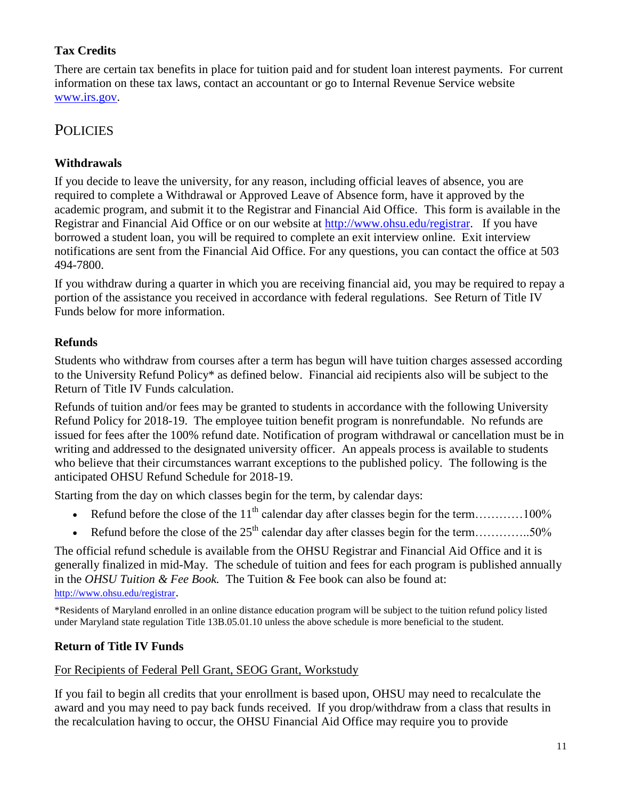## <span id="page-10-0"></span>**Tax Credits**

There are certain tax benefits in place for tuition paid and for student loan interest payments. For current information on these tax laws, contact an accountant or go to Internal Revenue Service website [www.irs.gov.](http://www.irs.gov/)

## **POLICIES**

### <span id="page-10-1"></span>**Withdrawals**

If you decide to leave the university, for any reason, including official leaves of absence, you are required to complete a Withdrawal or Approved Leave of Absence form, have it approved by the academic program, and submit it to the Registrar and Financial Aid Office. This form is available in the Registrar and Financial Aid Office or on our website at [http://www.ohsu.edu/registrar.](http://www.ohsu.edu/registrar) If you have borrowed a student loan, you will be required to complete an exit interview online. Exit interview notifications are sent from the Financial Aid Office. For any questions, you can contact the office at 503 494-7800.

If you withdraw during a quarter in which you are receiving financial aid, you may be required to repay a portion of the assistance you received in accordance with federal regulations. See Return of Title IV Funds below for more information.

## <span id="page-10-2"></span>**Refunds**

Students who withdraw from courses after a term has begun will have tuition charges assessed according to the University Refund Policy\* as defined below. Financial aid recipients also will be subject to the Return of Title IV Funds calculation.

Refunds of tuition and/or fees may be granted to students in accordance with the following University Refund Policy for 2018-19. The employee tuition benefit program is nonrefundable. No refunds are issued for fees after the 100% refund date. Notification of program withdrawal or cancellation must be in writing and addressed to the designated university officer. An appeals process is available to students who believe that their circumstances warrant exceptions to the published policy. The following is the anticipated OHSU Refund Schedule for 2018-19.

Starting from the day on which classes begin for the term, by calendar days:

- Refund before the close of the  $11<sup>th</sup>$  calendar day after classes begin for the term…………100%
- Refund before the close of the  $25<sup>th</sup>$  calendar day after classes begin for the term…………..50%

The official refund schedule is available from the OHSU Registrar and Financial Aid Office and it is generally finalized in mid-May. The schedule of tuition and fees for each program is published annually in the *OHSU Tuition & Fee Book.* The Tuition & Fee book can also be found at: [http://www.ohsu.edu/registrar](http://www.ohsu.edu/registrar/).

\*Residents of Maryland enrolled in an online distance education program will be subject to the tuition refund policy listed under Maryland state regulation Title 13B.05.01.10 unless the above schedule is more beneficial to the student.

## <span id="page-10-3"></span>**Return of Title IV Funds**

#### For Recipients of Federal Pell Grant, SEOG Grant, Workstudy

If you fail to begin all credits that your enrollment is based upon, OHSU may need to recalculate the award and you may need to pay back funds received. If you drop/withdraw from a class that results in the recalculation having to occur, the OHSU Financial Aid Office may require you to provide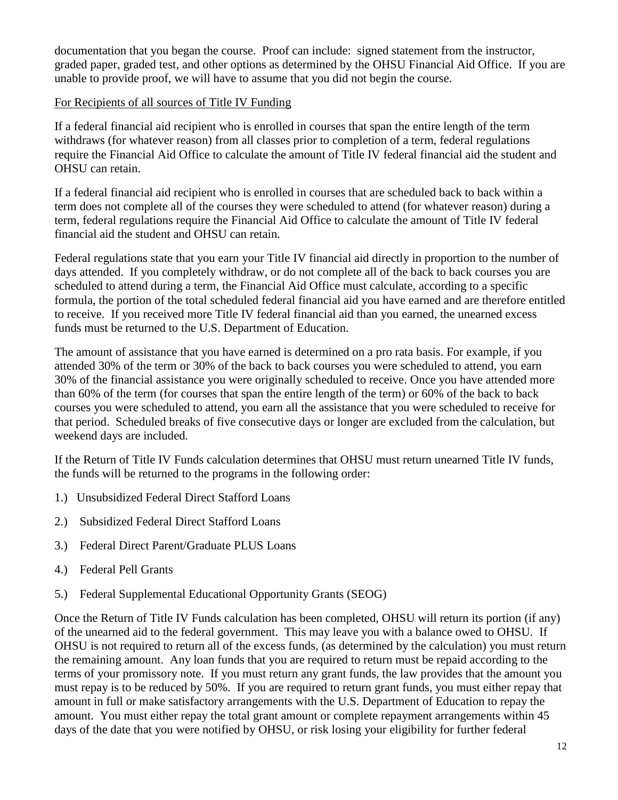documentation that you began the course. Proof can include: signed statement from the instructor, graded paper, graded test, and other options as determined by the OHSU Financial Aid Office. If you are unable to provide proof, we will have to assume that you did not begin the course.

#### For Recipients of all sources of Title IV Funding

If a federal financial aid recipient who is enrolled in courses that span the entire length of the term withdraws (for whatever reason) from all classes prior to completion of a term, federal regulations require the Financial Aid Office to calculate the amount of Title IV federal financial aid the student and OHSU can retain.

If a federal financial aid recipient who is enrolled in courses that are scheduled back to back within a term does not complete all of the courses they were scheduled to attend (for whatever reason) during a term, federal regulations require the Financial Aid Office to calculate the amount of Title IV federal financial aid the student and OHSU can retain.

Federal regulations state that you earn your Title IV financial aid directly in proportion to the number of days attended. If you completely withdraw, or do not complete all of the back to back courses you are scheduled to attend during a term, the Financial Aid Office must calculate, according to a specific formula, the portion of the total scheduled federal financial aid you have earned and are therefore entitled to receive. If you received more Title IV federal financial aid than you earned, the unearned excess funds must be returned to the U.S. Department of Education.

The amount of assistance that you have earned is determined on a pro rata basis. For example, if you attended 30% of the term or 30% of the back to back courses you were scheduled to attend, you earn 30% of the financial assistance you were originally scheduled to receive. Once you have attended more than 60% of the term (for courses that span the entire length of the term) or 60% of the back to back courses you were scheduled to attend, you earn all the assistance that you were scheduled to receive for that period. Scheduled breaks of five consecutive days or longer are excluded from the calculation, but weekend days are included.

If the Return of Title IV Funds calculation determines that OHSU must return unearned Title IV funds, the funds will be returned to the programs in the following order:

- 1.) Unsubsidized Federal Direct Stafford Loans
- 2.) Subsidized Federal Direct Stafford Loans
- 3.) Federal Direct Parent/Graduate PLUS Loans
- 4.) Federal Pell Grants
- 5.) Federal Supplemental Educational Opportunity Grants (SEOG)

Once the Return of Title IV Funds calculation has been completed, OHSU will return its portion (if any) of the unearned aid to the federal government. This may leave you with a balance owed to OHSU. If OHSU is not required to return all of the excess funds, (as determined by the calculation) you must return the remaining amount. Any loan funds that you are required to return must be repaid according to the terms of your promissory note. If you must return any grant funds, the law provides that the amount you must repay is to be reduced by 50%. If you are required to return grant funds, you must either repay that amount in full or make satisfactory arrangements with the U.S. Department of Education to repay the amount. You must either repay the total grant amount or complete repayment arrangements within 45 days of the date that you were notified by OHSU, or risk losing your eligibility for further federal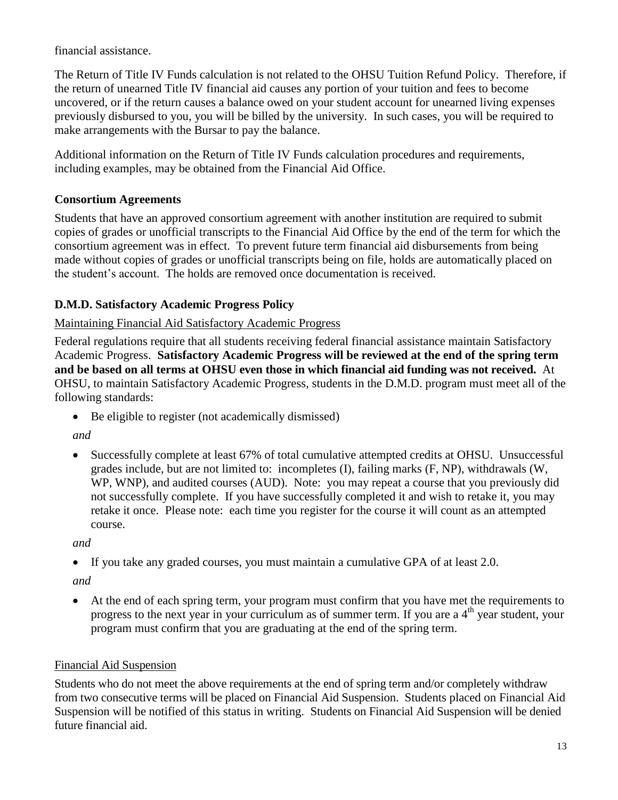financial assistance.

The Return of Title IV Funds calculation is not related to the OHSU Tuition Refund Policy. Therefore, if the return of unearned Title IV financial aid causes any portion of your tuition and fees to become uncovered, or if the return causes a balance owed on your student account for unearned living expenses previously disbursed to you, you will be billed by the university. In such cases, you will be required to make arrangements with the Bursar to pay the balance.

Additional information on the Return of Title IV Funds calculation procedures and requirements, including examples, may be obtained from the Financial Aid Office.

### <span id="page-12-0"></span>**Consortium Agreements**

Students that have an approved consortium agreement with another institution are required to submit copies of grades or unofficial transcripts to the Financial Aid Office by the end of the term for which the consortium agreement was in effect. To prevent future term financial aid disbursements from being made without copies of grades or unofficial transcripts being on file, holds are automatically placed on the student's account. The holds are removed once documentation is received.

## <span id="page-12-1"></span>**D.M.D. Satisfactory Academic Progress Policy**

#### Maintaining Financial Aid Satisfactory Academic Progress

Federal regulations require that all students receiving federal financial assistance maintain Satisfactory Academic Progress. **Satisfactory Academic Progress will be reviewed at the end of the spring term and be based on all terms at OHSU even those in which financial aid funding was not received.** At OHSU, to maintain Satisfactory Academic Progress, students in the D.M.D. program must meet all of the following standards:

• Be eligible to register (not academically dismissed)

*and*

 Successfully complete at least 67% of total cumulative attempted credits at OHSU. Unsuccessful grades include, but are not limited to: incompletes (I), failing marks (F, NP), withdrawals (W, WP, WNP), and audited courses (AUD). Note: you may repeat a course that you previously did not successfully complete. If you have successfully completed it and wish to retake it, you may retake it once. Please note: each time you register for the course it will count as an attempted course.

*and*

If you take any graded courses, you must maintain a cumulative GPA of at least 2.0.

*and*

 At the end of each spring term, your program must confirm that you have met the requirements to progress to the next year in your curriculum as of summer term. If you are a  $4<sup>th</sup>$  year student, your program must confirm that you are graduating at the end of the spring term.

## Financial Aid Suspension

Students who do not meet the above requirements at the end of spring term and/or completely withdraw from two consecutive terms will be placed on Financial Aid Suspension. Students placed on Financial Aid Suspension will be notified of this status in writing. Students on Financial Aid Suspension will be denied future financial aid.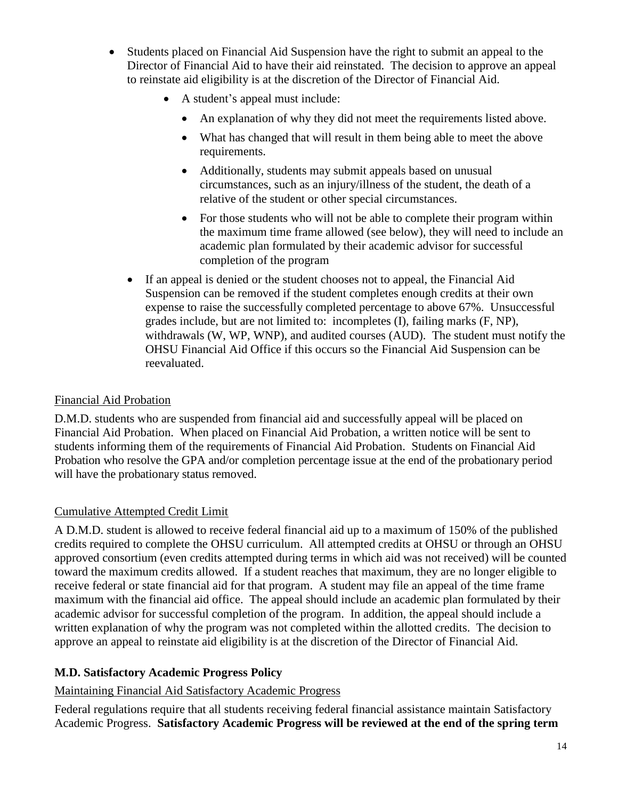- Students placed on Financial Aid Suspension have the right to submit an appeal to the Director of Financial Aid to have their aid reinstated. The decision to approve an appeal to reinstate aid eligibility is at the discretion of the Director of Financial Aid.
	- A student's appeal must include:
		- An explanation of why they did not meet the requirements listed above.
		- What has changed that will result in them being able to meet the above requirements.
		- Additionally, students may submit appeals based on unusual circumstances, such as an injury/illness of the student, the death of a relative of the student or other special circumstances.
		- For those students who will not be able to complete their program within the maximum time frame allowed (see below), they will need to include an academic plan formulated by their academic advisor for successful completion of the program
	- If an appeal is denied or the student chooses not to appeal, the Financial Aid Suspension can be removed if the student completes enough credits at their own expense to raise the successfully completed percentage to above 67%. Unsuccessful grades include, but are not limited to: incompletes (I), failing marks (F, NP), withdrawals (W, WP, WNP), and audited courses (AUD). The student must notify the OHSU Financial Aid Office if this occurs so the Financial Aid Suspension can be reevaluated.

#### Financial Aid Probation

D.M.D. students who are suspended from financial aid and successfully appeal will be placed on Financial Aid Probation. When placed on Financial Aid Probation, a written notice will be sent to students informing them of the requirements of Financial Aid Probation. Students on Financial Aid Probation who resolve the GPA and/or completion percentage issue at the end of the probationary period will have the probationary status removed.

#### Cumulative Attempted Credit Limit

A D.M.D. student is allowed to receive federal financial aid up to a maximum of 150% of the published credits required to complete the OHSU curriculum. All attempted credits at OHSU or through an OHSU approved consortium (even credits attempted during terms in which aid was not received) will be counted toward the maximum credits allowed. If a student reaches that maximum, they are no longer eligible to receive federal or state financial aid for that program. A student may file an appeal of the time frame maximum with the financial aid office. The appeal should include an academic plan formulated by their academic advisor for successful completion of the program. In addition, the appeal should include a written explanation of why the program was not completed within the allotted credits. The decision to approve an appeal to reinstate aid eligibility is at the discretion of the Director of Financial Aid.

#### <span id="page-13-0"></span>**M.D. Satisfactory Academic Progress Policy**

#### Maintaining Financial Aid Satisfactory Academic Progress

Federal regulations require that all students receiving federal financial assistance maintain Satisfactory Academic Progress. **Satisfactory Academic Progress will be reviewed at the end of the spring term**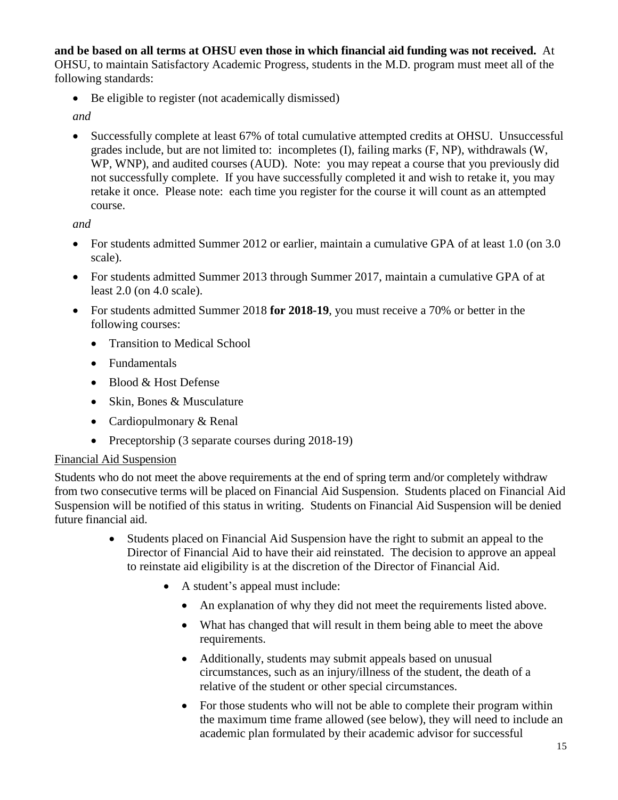**and be based on all terms at OHSU even those in which financial aid funding was not received.** At OHSU, to maintain Satisfactory Academic Progress, students in the M.D. program must meet all of the following standards:

• Be eligible to register (not academically dismissed)

*and*

 Successfully complete at least 67% of total cumulative attempted credits at OHSU. Unsuccessful grades include, but are not limited to: incompletes (I), failing marks (F, NP), withdrawals (W, WP, WNP), and audited courses (AUD). Note: you may repeat a course that you previously did not successfully complete. If you have successfully completed it and wish to retake it, you may retake it once. Please note: each time you register for the course it will count as an attempted course.

*and*

- For students admitted Summer 2012 or earlier, maintain a cumulative GPA of at least 1.0 (on 3.0) scale).
- For students admitted Summer 2013 through Summer 2017, maintain a cumulative GPA of at least 2.0 (on 4.0 scale).
- For students admitted Summer 2018 **for 2018-19**, you must receive a 70% or better in the following courses:
	- Transition to Medical School
	- Fundamentals
	- Blood & Host Defense
	- Skin, Bones & Musculature
	- Cardiopulmonary & Renal
	- Preceptorship (3 separate courses during 2018-19)

#### Financial Aid Suspension

Students who do not meet the above requirements at the end of spring term and/or completely withdraw from two consecutive terms will be placed on Financial Aid Suspension. Students placed on Financial Aid Suspension will be notified of this status in writing. Students on Financial Aid Suspension will be denied future financial aid.

- Students placed on Financial Aid Suspension have the right to submit an appeal to the Director of Financial Aid to have their aid reinstated. The decision to approve an appeal to reinstate aid eligibility is at the discretion of the Director of Financial Aid.
	- A student's appeal must include:
		- An explanation of why they did not meet the requirements listed above.
		- What has changed that will result in them being able to meet the above requirements.
		- Additionally, students may submit appeals based on unusual circumstances, such as an injury/illness of the student, the death of a relative of the student or other special circumstances.
		- For those students who will not be able to complete their program within the maximum time frame allowed (see below), they will need to include an academic plan formulated by their academic advisor for successful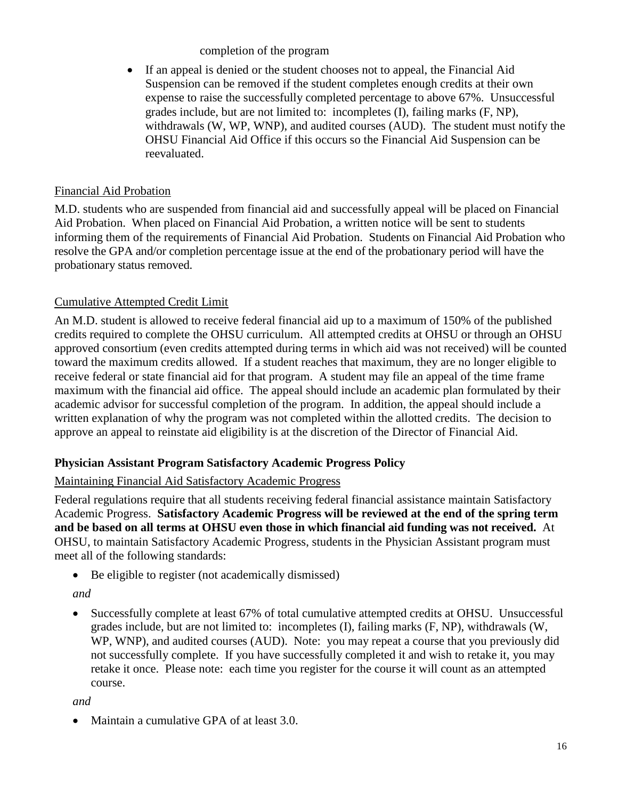completion of the program

 If an appeal is denied or the student chooses not to appeal, the Financial Aid Suspension can be removed if the student completes enough credits at their own expense to raise the successfully completed percentage to above 67%. Unsuccessful grades include, but are not limited to: incompletes (I), failing marks (F, NP), withdrawals (W, WP, WNP), and audited courses (AUD). The student must notify the OHSU Financial Aid Office if this occurs so the Financial Aid Suspension can be reevaluated.

#### Financial Aid Probation

M.D. students who are suspended from financial aid and successfully appeal will be placed on Financial Aid Probation. When placed on Financial Aid Probation, a written notice will be sent to students informing them of the requirements of Financial Aid Probation. Students on Financial Aid Probation who resolve the GPA and/or completion percentage issue at the end of the probationary period will have the probationary status removed.

#### Cumulative Attempted Credit Limit

An M.D. student is allowed to receive federal financial aid up to a maximum of 150% of the published credits required to complete the OHSU curriculum. All attempted credits at OHSU or through an OHSU approved consortium (even credits attempted during terms in which aid was not received) will be counted toward the maximum credits allowed. If a student reaches that maximum, they are no longer eligible to receive federal or state financial aid for that program. A student may file an appeal of the time frame maximum with the financial aid office. The appeal should include an academic plan formulated by their academic advisor for successful completion of the program. In addition, the appeal should include a written explanation of why the program was not completed within the allotted credits. The decision to approve an appeal to reinstate aid eligibility is at the discretion of the Director of Financial Aid.

#### <span id="page-15-0"></span>**Physician Assistant Program Satisfactory Academic Progress Policy**

#### Maintaining Financial Aid Satisfactory Academic Progress

Federal regulations require that all students receiving federal financial assistance maintain Satisfactory Academic Progress. **Satisfactory Academic Progress will be reviewed at the end of the spring term and be based on all terms at OHSU even those in which financial aid funding was not received.** At OHSU, to maintain Satisfactory Academic Progress, students in the Physician Assistant program must meet all of the following standards:

• Be eligible to register (not academically dismissed)

#### *and*

 Successfully complete at least 67% of total cumulative attempted credits at OHSU. Unsuccessful grades include, but are not limited to: incompletes (I), failing marks (F, NP), withdrawals (W, WP, WNP), and audited courses (AUD). Note: you may repeat a course that you previously did not successfully complete. If you have successfully completed it and wish to retake it, you may retake it once. Please note: each time you register for the course it will count as an attempted course.

*and*

Maintain a cumulative GPA of at least 3.0.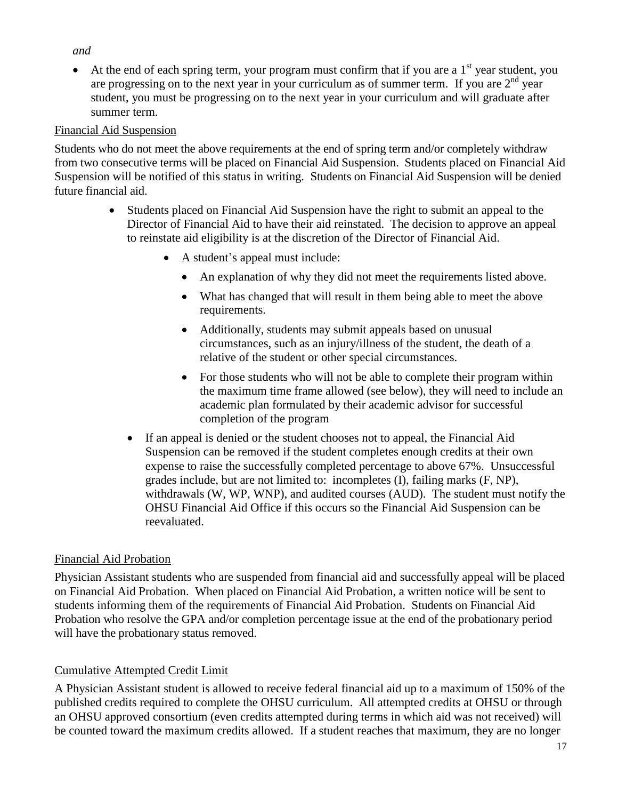#### *and*

At the end of each spring term, your program must confirm that if you are a  $1<sup>st</sup>$  year student, you are progressing on to the next year in your curriculum as of summer term. If you are  $2<sup>nd</sup>$  year student, you must be progressing on to the next year in your curriculum and will graduate after summer term.

#### Financial Aid Suspension

Students who do not meet the above requirements at the end of spring term and/or completely withdraw from two consecutive terms will be placed on Financial Aid Suspension. Students placed on Financial Aid Suspension will be notified of this status in writing. Students on Financial Aid Suspension will be denied future financial aid.

- Students placed on Financial Aid Suspension have the right to submit an appeal to the Director of Financial Aid to have their aid reinstated. The decision to approve an appeal to reinstate aid eligibility is at the discretion of the Director of Financial Aid.
	- A student's appeal must include:
		- An explanation of why they did not meet the requirements listed above.
		- What has changed that will result in them being able to meet the above requirements.
		- Additionally, students may submit appeals based on unusual circumstances, such as an injury/illness of the student, the death of a relative of the student or other special circumstances.
		- For those students who will not be able to complete their program within the maximum time frame allowed (see below), they will need to include an academic plan formulated by their academic advisor for successful completion of the program
	- If an appeal is denied or the student chooses not to appeal, the Financial Aid Suspension can be removed if the student completes enough credits at their own expense to raise the successfully completed percentage to above 67%. Unsuccessful grades include, but are not limited to: incompletes (I), failing marks (F, NP), withdrawals (W, WP, WNP), and audited courses (AUD). The student must notify the OHSU Financial Aid Office if this occurs so the Financial Aid Suspension can be reevaluated.

#### Financial Aid Probation

Physician Assistant students who are suspended from financial aid and successfully appeal will be placed on Financial Aid Probation. When placed on Financial Aid Probation, a written notice will be sent to students informing them of the requirements of Financial Aid Probation. Students on Financial Aid Probation who resolve the GPA and/or completion percentage issue at the end of the probationary period will have the probationary status removed.

#### Cumulative Attempted Credit Limit

A Physician Assistant student is allowed to receive federal financial aid up to a maximum of 150% of the published credits required to complete the OHSU curriculum. All attempted credits at OHSU or through an OHSU approved consortium (even credits attempted during terms in which aid was not received) will be counted toward the maximum credits allowed. If a student reaches that maximum, they are no longer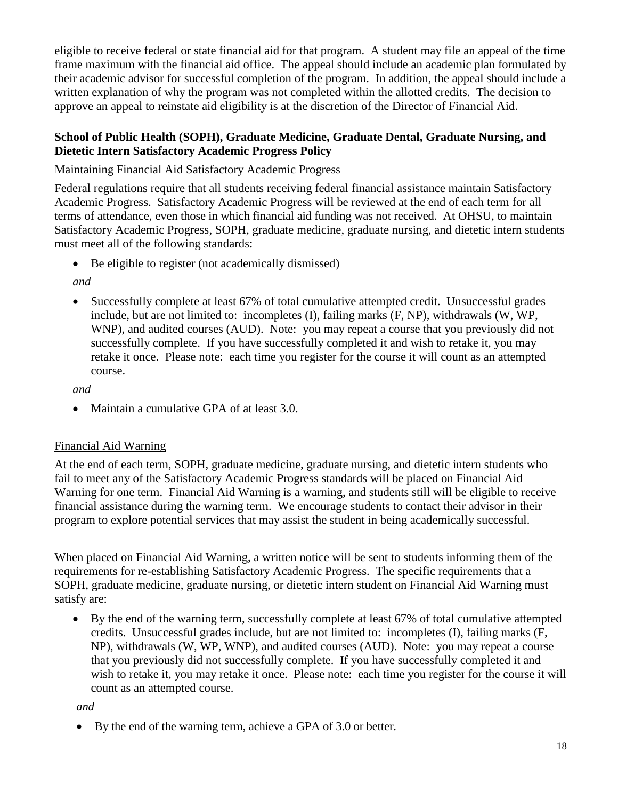eligible to receive federal or state financial aid for that program. A student may file an appeal of the time frame maximum with the financial aid office. The appeal should include an academic plan formulated by their academic advisor for successful completion of the program. In addition, the appeal should include a written explanation of why the program was not completed within the allotted credits. The decision to approve an appeal to reinstate aid eligibility is at the discretion of the Director of Financial Aid.

#### <span id="page-17-0"></span>**School of Public Health (SOPH), Graduate Medicine, Graduate Dental, Graduate Nursing, and Dietetic Intern Satisfactory Academic Progress Policy**

#### Maintaining Financial Aid Satisfactory Academic Progress

Federal regulations require that all students receiving federal financial assistance maintain Satisfactory Academic Progress. Satisfactory Academic Progress will be reviewed at the end of each term for all terms of attendance, even those in which financial aid funding was not received. At OHSU, to maintain Satisfactory Academic Progress, SOPH, graduate medicine, graduate nursing, and dietetic intern students must meet all of the following standards:

• Be eligible to register (not academically dismissed)

*and*

 Successfully complete at least 67% of total cumulative attempted credit. Unsuccessful grades include, but are not limited to: incompletes (I), failing marks (F, NP), withdrawals (W, WP, WNP), and audited courses (AUD). Note: you may repeat a course that you previously did not successfully complete. If you have successfully completed it and wish to retake it, you may retake it once. Please note: each time you register for the course it will count as an attempted course.

*and*

Maintain a cumulative GPA of at least 3.0.

#### Financial Aid Warning

At the end of each term, SOPH, graduate medicine, graduate nursing, and dietetic intern students who fail to meet any of the Satisfactory Academic Progress standards will be placed on Financial Aid Warning for one term. Financial Aid Warning is a warning, and students still will be eligible to receive financial assistance during the warning term. We encourage students to contact their advisor in their program to explore potential services that may assist the student in being academically successful.

When placed on Financial Aid Warning, a written notice will be sent to students informing them of the requirements for re-establishing Satisfactory Academic Progress. The specific requirements that a SOPH, graduate medicine, graduate nursing, or dietetic intern student on Financial Aid Warning must satisfy are:

 By the end of the warning term, successfully complete at least 67% of total cumulative attempted credits. Unsuccessful grades include, but are not limited to: incompletes (I), failing marks (F, NP), withdrawals (W, WP, WNP), and audited courses (AUD). Note: you may repeat a course that you previously did not successfully complete. If you have successfully completed it and wish to retake it, you may retake it once. Please note: each time you register for the course it will count as an attempted course.

*and*

By the end of the warning term, achieve a GPA of 3.0 or better.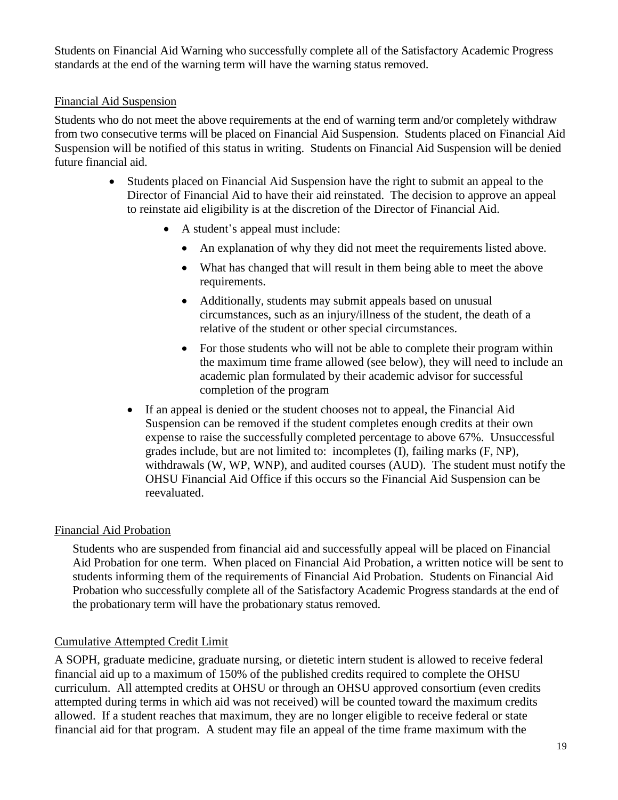Students on Financial Aid Warning who successfully complete all of the Satisfactory Academic Progress standards at the end of the warning term will have the warning status removed.

#### Financial Aid Suspension

Students who do not meet the above requirements at the end of warning term and/or completely withdraw from two consecutive terms will be placed on Financial Aid Suspension. Students placed on Financial Aid Suspension will be notified of this status in writing. Students on Financial Aid Suspension will be denied future financial aid.

- Students placed on Financial Aid Suspension have the right to submit an appeal to the Director of Financial Aid to have their aid reinstated. The decision to approve an appeal to reinstate aid eligibility is at the discretion of the Director of Financial Aid.
	- A student's appeal must include:
		- An explanation of why they did not meet the requirements listed above.
		- What has changed that will result in them being able to meet the above requirements.
		- Additionally, students may submit appeals based on unusual circumstances, such as an injury/illness of the student, the death of a relative of the student or other special circumstances.
		- For those students who will not be able to complete their program within the maximum time frame allowed (see below), they will need to include an academic plan formulated by their academic advisor for successful completion of the program
	- If an appeal is denied or the student chooses not to appeal, the Financial Aid Suspension can be removed if the student completes enough credits at their own expense to raise the successfully completed percentage to above 67%. Unsuccessful grades include, but are not limited to: incompletes (I), failing marks (F, NP), withdrawals (W, WP, WNP), and audited courses (AUD). The student must notify the OHSU Financial Aid Office if this occurs so the Financial Aid Suspension can be reevaluated.

#### Financial Aid Probation

Students who are suspended from financial aid and successfully appeal will be placed on Financial Aid Probation for one term. When placed on Financial Aid Probation, a written notice will be sent to students informing them of the requirements of Financial Aid Probation. Students on Financial Aid Probation who successfully complete all of the Satisfactory Academic Progress standards at the end of the probationary term will have the probationary status removed.

#### Cumulative Attempted Credit Limit

A SOPH, graduate medicine, graduate nursing, or dietetic intern student is allowed to receive federal financial aid up to a maximum of 150% of the published credits required to complete the OHSU curriculum. All attempted credits at OHSU or through an OHSU approved consortium (even credits attempted during terms in which aid was not received) will be counted toward the maximum credits allowed. If a student reaches that maximum, they are no longer eligible to receive federal or state financial aid for that program. A student may file an appeal of the time frame maximum with the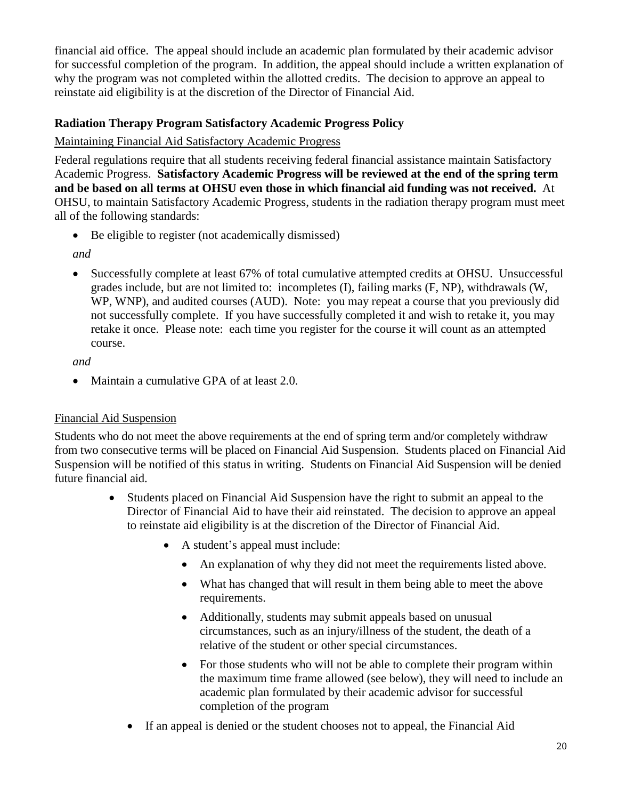financial aid office. The appeal should include an academic plan formulated by their academic advisor for successful completion of the program. In addition, the appeal should include a written explanation of why the program was not completed within the allotted credits. The decision to approve an appeal to reinstate aid eligibility is at the discretion of the Director of Financial Aid.

### <span id="page-19-0"></span>**Radiation Therapy Program Satisfactory Academic Progress Policy**

#### Maintaining Financial Aid Satisfactory Academic Progress

Federal regulations require that all students receiving federal financial assistance maintain Satisfactory Academic Progress. **Satisfactory Academic Progress will be reviewed at the end of the spring term and be based on all terms at OHSU even those in which financial aid funding was not received.** At OHSU, to maintain Satisfactory Academic Progress, students in the radiation therapy program must meet all of the following standards:

• Be eligible to register (not academically dismissed)

*and*

 Successfully complete at least 67% of total cumulative attempted credits at OHSU. Unsuccessful grades include, but are not limited to: incompletes (I), failing marks (F, NP), withdrawals (W, WP, WNP), and audited courses (AUD). Note: you may repeat a course that you previously did not successfully complete. If you have successfully completed it and wish to retake it, you may retake it once. Please note: each time you register for the course it will count as an attempted course.

*and*

• Maintain a cumulative GPA of at least 2.0.

#### Financial Aid Suspension

Students who do not meet the above requirements at the end of spring term and/or completely withdraw from two consecutive terms will be placed on Financial Aid Suspension. Students placed on Financial Aid Suspension will be notified of this status in writing. Students on Financial Aid Suspension will be denied future financial aid.

- Students placed on Financial Aid Suspension have the right to submit an appeal to the Director of Financial Aid to have their aid reinstated. The decision to approve an appeal to reinstate aid eligibility is at the discretion of the Director of Financial Aid.
	- A student's appeal must include:
		- An explanation of why they did not meet the requirements listed above.
		- What has changed that will result in them being able to meet the above requirements.
		- Additionally, students may submit appeals based on unusual circumstances, such as an injury/illness of the student, the death of a relative of the student or other special circumstances.
		- For those students who will not be able to complete their program within the maximum time frame allowed (see below), they will need to include an academic plan formulated by their academic advisor for successful completion of the program
	- If an appeal is denied or the student chooses not to appeal, the Financial Aid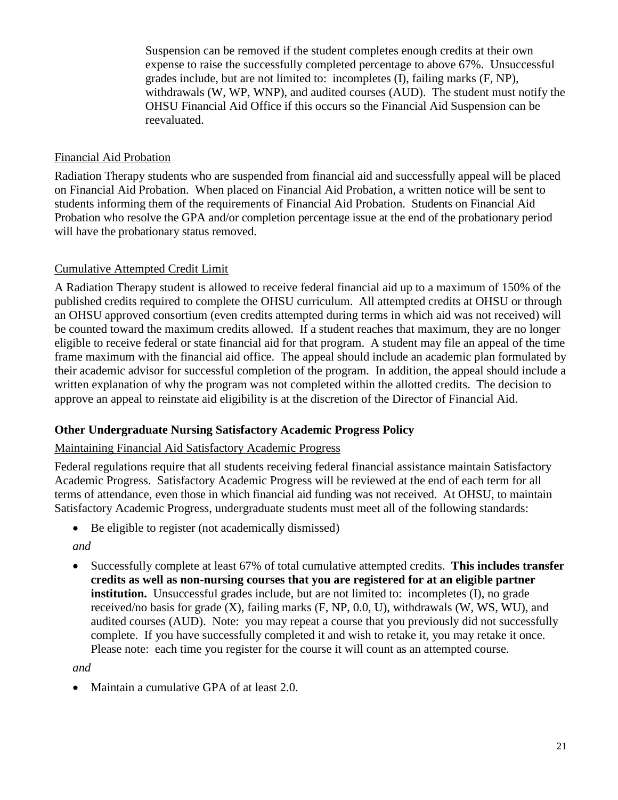Suspension can be removed if the student completes enough credits at their own expense to raise the successfully completed percentage to above 67%. Unsuccessful grades include, but are not limited to: incompletes (I), failing marks (F, NP), withdrawals (W, WP, WNP), and audited courses (AUD). The student must notify the OHSU Financial Aid Office if this occurs so the Financial Aid Suspension can be reevaluated.

#### Financial Aid Probation

Radiation Therapy students who are suspended from financial aid and successfully appeal will be placed on Financial Aid Probation. When placed on Financial Aid Probation, a written notice will be sent to students informing them of the requirements of Financial Aid Probation. Students on Financial Aid Probation who resolve the GPA and/or completion percentage issue at the end of the probationary period will have the probationary status removed.

#### Cumulative Attempted Credit Limit

A Radiation Therapy student is allowed to receive federal financial aid up to a maximum of 150% of the published credits required to complete the OHSU curriculum. All attempted credits at OHSU or through an OHSU approved consortium (even credits attempted during terms in which aid was not received) will be counted toward the maximum credits allowed. If a student reaches that maximum, they are no longer eligible to receive federal or state financial aid for that program. A student may file an appeal of the time frame maximum with the financial aid office. The appeal should include an academic plan formulated by their academic advisor for successful completion of the program. In addition, the appeal should include a written explanation of why the program was not completed within the allotted credits. The decision to approve an appeal to reinstate aid eligibility is at the discretion of the Director of Financial Aid.

#### <span id="page-20-0"></span>**Other Undergraduate Nursing Satisfactory Academic Progress Policy**

#### Maintaining Financial Aid Satisfactory Academic Progress

Federal regulations require that all students receiving federal financial assistance maintain Satisfactory Academic Progress. Satisfactory Academic Progress will be reviewed at the end of each term for all terms of attendance, even those in which financial aid funding was not received. At OHSU, to maintain Satisfactory Academic Progress, undergraduate students must meet all of the following standards:

Be eligible to register (not academically dismissed)

*and*

 Successfully complete at least 67% of total cumulative attempted credits. **This includes transfer credits as well as non-nursing courses that you are registered for at an eligible partner institution.** Unsuccessful grades include, but are not limited to: incompletes (I), no grade received/no basis for grade  $(X)$ , failing marks  $(F, NP, 0.0, U)$ , withdrawals  $(W, WS, WU)$ , and audited courses (AUD). Note: you may repeat a course that you previously did not successfully complete. If you have successfully completed it and wish to retake it, you may retake it once. Please note: each time you register for the course it will count as an attempted course.

*and*

Maintain a cumulative GPA of at least 2.0.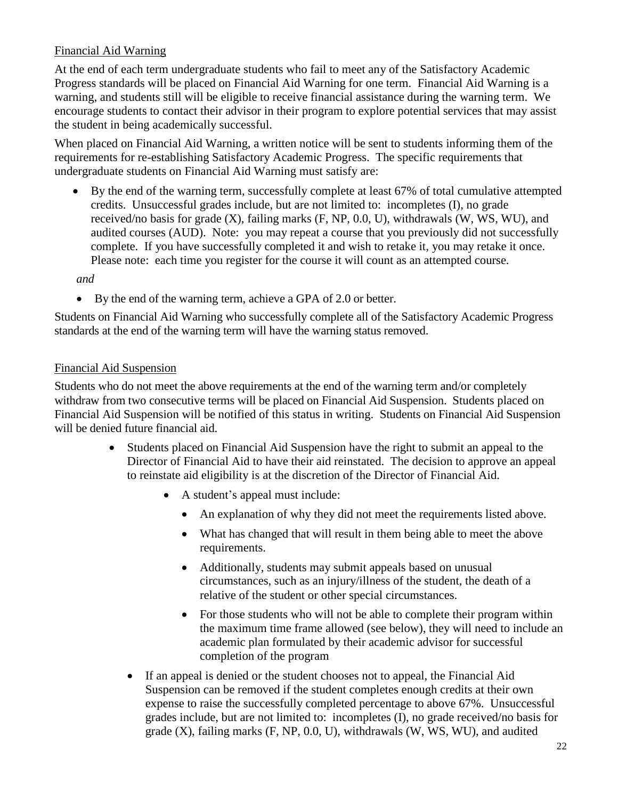#### Financial Aid Warning

At the end of each term undergraduate students who fail to meet any of the Satisfactory Academic Progress standards will be placed on Financial Aid Warning for one term. Financial Aid Warning is a warning, and students still will be eligible to receive financial assistance during the warning term. We encourage students to contact their advisor in their program to explore potential services that may assist the student in being academically successful.

When placed on Financial Aid Warning, a written notice will be sent to students informing them of the requirements for re-establishing Satisfactory Academic Progress. The specific requirements that undergraduate students on Financial Aid Warning must satisfy are:

 By the end of the warning term, successfully complete at least 67% of total cumulative attempted credits. Unsuccessful grades include, but are not limited to: incompletes (I), no grade received/no basis for grade  $(X)$ , failing marks  $(F, NP, 0.0, U)$ , withdrawals  $(W, WS, WU)$ , and audited courses (AUD). Note: you may repeat a course that you previously did not successfully complete. If you have successfully completed it and wish to retake it, you may retake it once. Please note: each time you register for the course it will count as an attempted course.

#### *and*

By the end of the warning term, achieve a GPA of 2.0 or better.

Students on Financial Aid Warning who successfully complete all of the Satisfactory Academic Progress standards at the end of the warning term will have the warning status removed.

#### Financial Aid Suspension

Students who do not meet the above requirements at the end of the warning term and/or completely withdraw from two consecutive terms will be placed on Financial Aid Suspension. Students placed on Financial Aid Suspension will be notified of this status in writing. Students on Financial Aid Suspension will be denied future financial aid.

- Students placed on Financial Aid Suspension have the right to submit an appeal to the Director of Financial Aid to have their aid reinstated. The decision to approve an appeal to reinstate aid eligibility is at the discretion of the Director of Financial Aid.
	- A student's appeal must include:
		- An explanation of why they did not meet the requirements listed above.
		- What has changed that will result in them being able to meet the above requirements.
		- Additionally, students may submit appeals based on unusual circumstances, such as an injury/illness of the student, the death of a relative of the student or other special circumstances.
		- For those students who will not be able to complete their program within the maximum time frame allowed (see below), they will need to include an academic plan formulated by their academic advisor for successful completion of the program
	- If an appeal is denied or the student chooses not to appeal, the Financial Aid Suspension can be removed if the student completes enough credits at their own expense to raise the successfully completed percentage to above 67%. Unsuccessful grades include, but are not limited to: incompletes (I), no grade received/no basis for grade (X), failing marks (F, NP, 0.0, U), withdrawals (W, WS, WU), and audited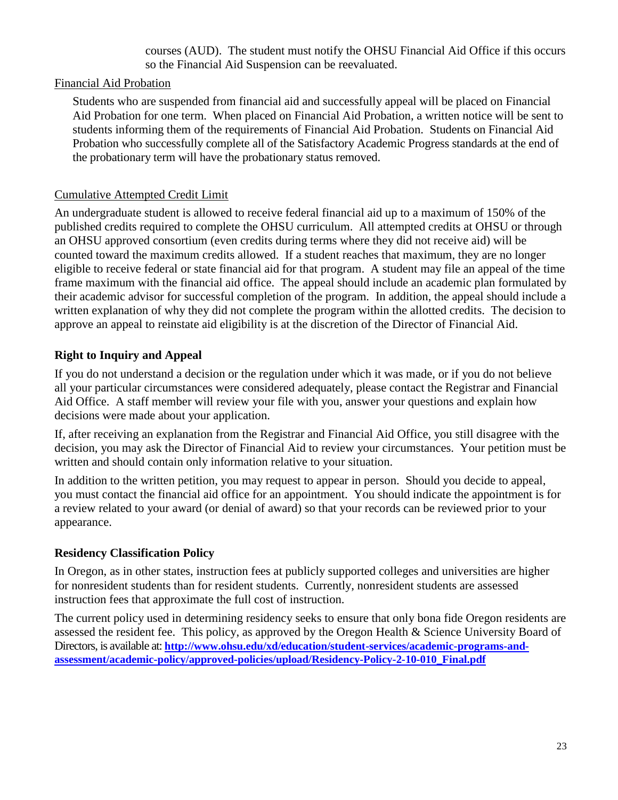courses (AUD). The student must notify the OHSU Financial Aid Office if this occurs so the Financial Aid Suspension can be reevaluated.

#### Financial Aid Probation

Students who are suspended from financial aid and successfully appeal will be placed on Financial Aid Probation for one term. When placed on Financial Aid Probation, a written notice will be sent to students informing them of the requirements of Financial Aid Probation. Students on Financial Aid Probation who successfully complete all of the Satisfactory Academic Progress standards at the end of the probationary term will have the probationary status removed.

#### Cumulative Attempted Credit Limit

An undergraduate student is allowed to receive federal financial aid up to a maximum of 150% of the published credits required to complete the OHSU curriculum. All attempted credits at OHSU or through an OHSU approved consortium (even credits during terms where they did not receive aid) will be counted toward the maximum credits allowed. If a student reaches that maximum, they are no longer eligible to receive federal or state financial aid for that program. A student may file an appeal of the time frame maximum with the financial aid office. The appeal should include an academic plan formulated by their academic advisor for successful completion of the program. In addition, the appeal should include a written explanation of why they did not complete the program within the allotted credits. The decision to approve an appeal to reinstate aid eligibility is at the discretion of the Director of Financial Aid.

#### <span id="page-22-0"></span>**Right to Inquiry and Appeal**

If you do not understand a decision or the regulation under which it was made, or if you do not believe all your particular circumstances were considered adequately, please contact the Registrar and Financial Aid Office. A staff member will review your file with you, answer your questions and explain how decisions were made about your application.

If, after receiving an explanation from the Registrar and Financial Aid Office, you still disagree with the decision, you may ask the Director of Financial Aid to review your circumstances. Your petition must be written and should contain only information relative to your situation.

In addition to the written petition, you may request to appear in person. Should you decide to appeal, you must contact the financial aid office for an appointment. You should indicate the appointment is for a review related to your award (or denial of award) so that your records can be reviewed prior to your appearance.

#### <span id="page-22-1"></span>**Residency Classification Policy**

In Oregon, as in other states, instruction fees at publicly supported colleges and universities are higher for nonresident students than for resident students. Currently, nonresident students are assessed instruction fees that approximate the full cost of instruction.

The current policy used in determining residency seeks to ensure that only bona fide Oregon residents are assessed the resident fee. This policy, as approved by the Oregon Health & Science University Board of Directors, is available at: **[http://www.ohsu.edu/xd/education/student-services/academic-programs-and](http://www.ohsu.edu/xd/education/student-services/academic-programs-and-assessment/academic-policy/approved-policies/upload/Residency-Policy-2-10-010_Final.pdf)[assessment/academic-policy/approved-policies/upload/Residency-Policy-2-10-010\\_Final.pdf](http://www.ohsu.edu/xd/education/student-services/academic-programs-and-assessment/academic-policy/approved-policies/upload/Residency-Policy-2-10-010_Final.pdf)**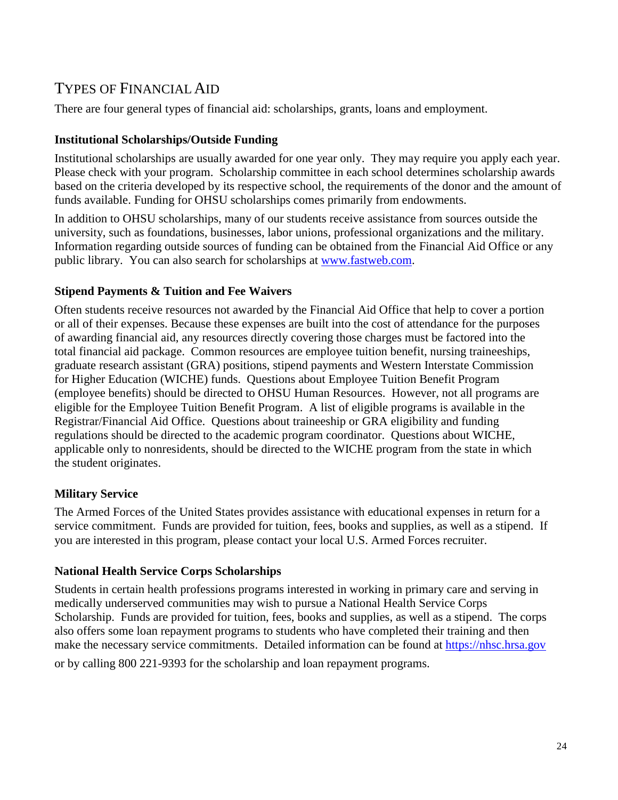## TYPES OF FINANCIAL AID

There are four general types of financial aid: scholarships, grants, loans and employment.

#### <span id="page-23-0"></span>**Institutional Scholarships/Outside Funding**

Institutional scholarships are usually awarded for one year only. They may require you apply each year. Please check with your program. Scholarship committee in each school determines scholarship awards based on the criteria developed by its respective school, the requirements of the donor and the amount of funds available. Funding for OHSU scholarships comes primarily from endowments.

In addition to OHSU scholarships, many of our students receive assistance from sources outside the university, such as foundations, businesses, labor unions, professional organizations and the military. Information regarding outside sources of funding can be obtained from the Financial Aid Office or any public library. You can also search for scholarships at [www.fastweb.com.](http://www.fastweb.com/)

#### <span id="page-23-1"></span>**Stipend Payments & Tuition and Fee Waivers**

Often students receive resources not awarded by the Financial Aid Office that help to cover a portion or all of their expenses. Because these expenses are built into the cost of attendance for the purposes of awarding financial aid, any resources directly covering those charges must be factored into the total financial aid package. Common resources are employee tuition benefit, nursing traineeships, graduate research assistant (GRA) positions, stipend payments and Western Interstate Commission for Higher Education (WICHE) funds. Questions about Employee Tuition Benefit Program (employee benefits) should be directed to OHSU Human Resources. However, not all programs are eligible for the Employee Tuition Benefit Program. A list of eligible programs is available in the Registrar/Financial Aid Office. Questions about traineeship or GRA eligibility and funding regulations should be directed to the academic program coordinator. Questions about WICHE, applicable only to nonresidents, should be directed to the WICHE program from the state in which the student originates.

#### <span id="page-23-2"></span>**Military Service**

The Armed Forces of the United States provides assistance with educational expenses in return for a service commitment. Funds are provided for tuition, fees, books and supplies, as well as a stipend. If you are interested in this program, please contact your local U.S. Armed Forces recruiter.

#### <span id="page-23-3"></span>**National Health Service Corps Scholarships**

Students in certain health professions programs interested in working in primary care and serving in medically underserved communities may wish to pursue a National Health Service Corps Scholarship. Funds are provided for tuition, fees, books and supplies, as well as a stipend. The corps also offers some loan repayment programs to students who have completed their training and then make the necessary service commitments. Detailed information can be found at [https://nhsc.hrsa.gov](https://nhsc.hrsa.gov/)

or by calling 800 221-9393 for the scholarship and loan repayment programs.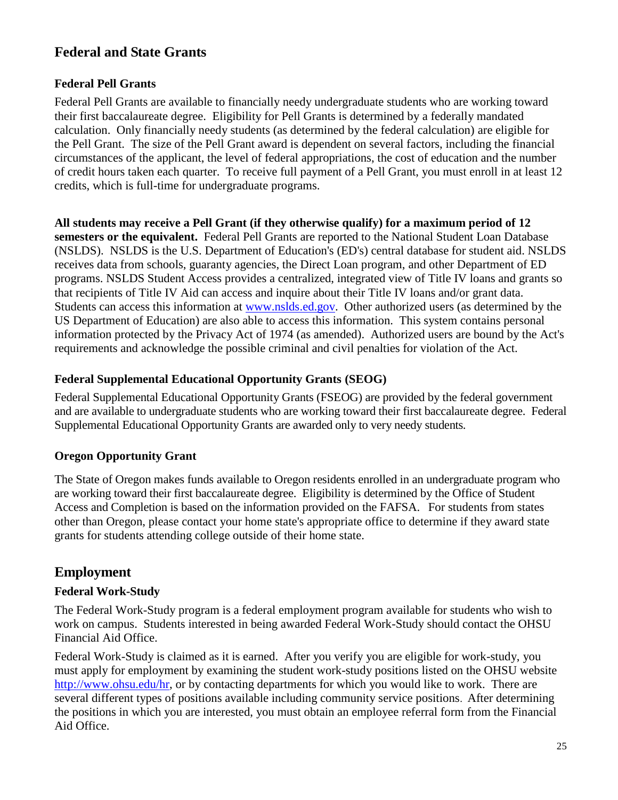## **Federal and State Grants**

#### <span id="page-24-0"></span>**Federal Pell Grants**

Federal Pell Grants are available to financially needy undergraduate students who are working toward their first baccalaureate degree. Eligibility for Pell Grants is determined by a federally mandated calculation. Only financially needy students (as determined by the federal calculation) are eligible for the Pell Grant. The size of the Pell Grant award is dependent on several factors, including the financial circumstances of the applicant, the level of federal appropriations, the cost of education and the number of credit hours taken each quarter. To receive full payment of a Pell Grant, you must enroll in at least 12 credits, which is full-time for undergraduate programs.

**All students may receive a Pell Grant (if they otherwise qualify) for a maximum period of 12 semesters or the equivalent.** Federal Pell Grants are reported to the National Student Loan Database (NSLDS). NSLDS is the U.S. Department of Education's (ED's) central database for student aid. NSLDS receives data from schools, guaranty agencies, the Direct Loan program, and other Department of ED programs. NSLDS Student Access provides a centralized, integrated view of Title IV loans and grants so that recipients of Title IV Aid can access and inquire about their Title IV loans and/or grant data. Students can access this information at [www.nslds.ed.gov.](http://www.nslds.ed.gov/) Other authorized users (as determined by the US Department of Education) are also able to access this information. This system contains personal information protected by the Privacy Act of 1974 (as amended). Authorized users are bound by the Act's requirements and acknowledge the possible criminal and civil penalties for violation of the Act.

#### <span id="page-24-1"></span>**Federal Supplemental Educational Opportunity Grants (SEOG)**

Federal Supplemental Educational Opportunity Grants (FSEOG) are provided by the federal government and are available to undergraduate students who are working toward their first baccalaureate degree. Federal Supplemental Educational Opportunity Grants are awarded only to very needy students.

#### <span id="page-24-2"></span>**Oregon Opportunity Grant**

The State of Oregon makes funds available to Oregon residents enrolled in an undergraduate program who are working toward their first baccalaureate degree. Eligibility is determined by the Office of Student Access and Completion is based on the information provided on the FAFSA. For students from states other than Oregon, please contact your home state's appropriate office to determine if they award state grants for students attending college outside of their home state.

## **Employment**

#### <span id="page-24-3"></span>**Federal Work-Study**

The Federal Work-Study program is a federal employment program available for students who wish to work on campus. Students interested in being awarded Federal Work-Study should contact the OHSU Financial Aid Office.

Federal Work-Study is claimed as it is earned. After you verify you are eligible for work-study, you must apply for employment by examining the student work-study positions listed on the OHSU website [http://www.ohsu.edu/hr,](http://www.ohsu.edu/hr) or by contacting departments for which you would like to work. There are several different types of positions available including community service positions. After determining the positions in which you are interested, you must obtain an employee referral form from the Financial Aid Office.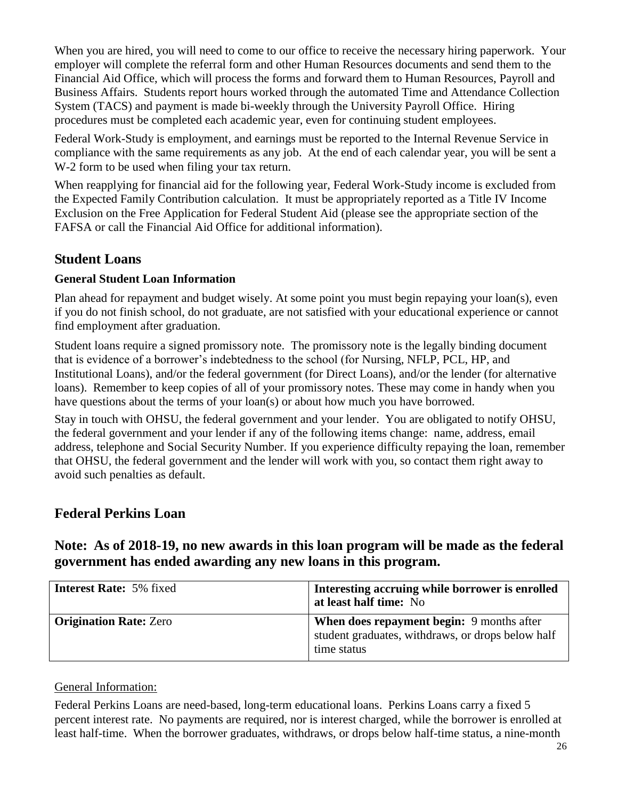When you are hired, you will need to come to our office to receive the necessary hiring paperwork. Your employer will complete the referral form and other Human Resources documents and send them to the Financial Aid Office, which will process the forms and forward them to Human Resources, Payroll and Business Affairs. Students report hours worked through the automated Time and Attendance Collection System (TACS) and payment is made bi-weekly through the University Payroll Office. Hiring procedures must be completed each academic year, even for continuing student employees.

Federal Work-Study is employment, and earnings must be reported to the Internal Revenue Service in compliance with the same requirements as any job. At the end of each calendar year, you will be sent a W-2 form to be used when filing your tax return.

When reapplying for financial aid for the following year, Federal Work-Study income is excluded from the Expected Family Contribution calculation. It must be appropriately reported as a Title IV Income Exclusion on the Free Application for Federal Student Aid (please see the appropriate section of the FAFSA or call the Financial Aid Office for additional information).

## **Student Loans**

#### <span id="page-25-0"></span>**General Student Loan Information**

Plan ahead for repayment and budget wisely. At some point you must begin repaying your loan(s), even if you do not finish school, do not graduate, are not satisfied with your educational experience or cannot find employment after graduation.

Student loans require a signed promissory note. The promissory note is the legally binding document that is evidence of a borrower's indebtedness to the school (for Nursing, NFLP, PCL, HP, and Institutional Loans), and/or the federal government (for Direct Loans), and/or the lender (for alternative loans). Remember to keep copies of all of your promissory notes. These may come in handy when you have questions about the terms of your loan(s) or about how much you have borrowed.

Stay in touch with OHSU, the federal government and your lender. You are obligated to notify OHSU, the federal government and your lender if any of the following items change: name, address, email address, telephone and Social Security Number. If you experience difficulty repaying the loan, remember that OHSU, the federal government and the lender will work with you, so contact them right away to avoid such penalties as default.

## <span id="page-25-1"></span>**Federal Perkins Loan**

## **Note: As of 2018-19, no new awards in this loan program will be made as the federal government has ended awarding any new loans in this program.**

| <b>Interest Rate: 5% fixed</b> | Interesting accruing while borrower is enrolled<br>at least half time: No                                            |
|--------------------------------|----------------------------------------------------------------------------------------------------------------------|
| <b>Origination Rate: Zero</b>  | <b>When does repayment begin:</b> 9 months after<br>student graduates, withdraws, or drops below half<br>time status |

#### General Information:

Federal Perkins Loans are need-based, long-term educational loans. Perkins Loans carry a fixed 5 percent interest rate. No payments are required, nor is interest charged, while the borrower is enrolled at least half-time. When the borrower graduates, withdraws, or drops below half-time status, a nine-month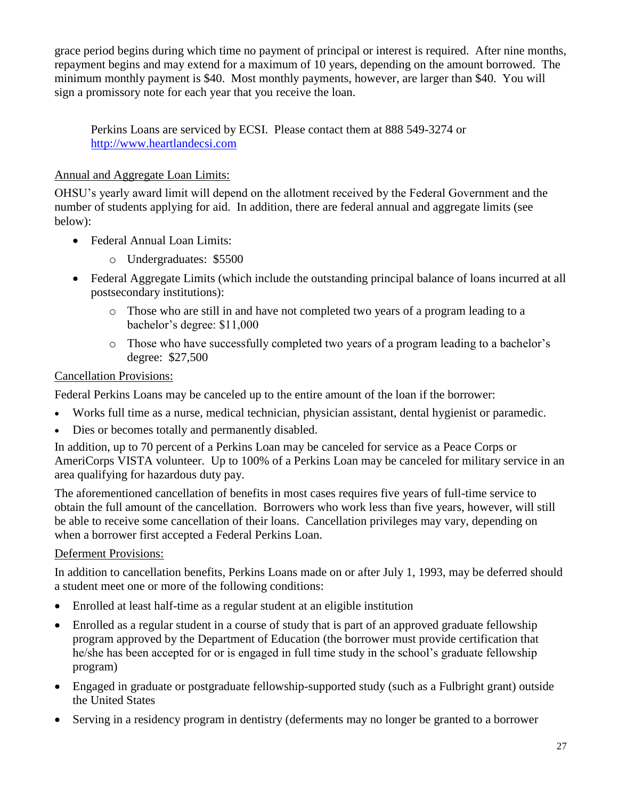grace period begins during which time no payment of principal or interest is required. After nine months, repayment begins and may extend for a maximum of 10 years, depending on the amount borrowed. The minimum monthly payment is \$40. Most monthly payments, however, are larger than \$40. You will sign a promissory note for each year that you receive the loan.

Perkins Loans are serviced by ECSI. Please contact them at 888 549-3274 or [http://www.heartlandecsi.com](http://www.heartlandecsi.com/)

### Annual and Aggregate Loan Limits:

OHSU's yearly award limit will depend on the allotment received by the Federal Government and the number of students applying for aid. In addition, there are federal annual and aggregate limits (see below):

- Federal Annual Loan Limits:
	- o Undergraduates: \$5500
- Federal Aggregate Limits (which include the outstanding principal balance of loans incurred at all postsecondary institutions):
	- o Those who are still in and have not completed two years of a program leading to a bachelor's degree: \$11,000
	- o Those who have successfully completed two years of a program leading to a bachelor's degree: \$27,500

#### Cancellation Provisions:

Federal Perkins Loans may be canceled up to the entire amount of the loan if the borrower:

- Works full time as a nurse, medical technician, physician assistant, dental hygienist or paramedic.
- Dies or becomes totally and permanently disabled.

In addition, up to 70 percent of a Perkins Loan may be canceled for service as a Peace Corps or AmeriCorps VISTA volunteer. Up to 100% of a Perkins Loan may be canceled for military service in an area qualifying for hazardous duty pay.

The aforementioned cancellation of benefits in most cases requires five years of full-time service to obtain the full amount of the cancellation. Borrowers who work less than five years, however, will still be able to receive some cancellation of their loans. Cancellation privileges may vary, depending on when a borrower first accepted a Federal Perkins Loan.

#### Deferment Provisions:

In addition to cancellation benefits, Perkins Loans made on or after July 1, 1993, may be deferred should a student meet one or more of the following conditions:

- Enrolled at least half-time as a regular student at an eligible institution
- Enrolled as a regular student in a course of study that is part of an approved graduate fellowship program approved by the Department of Education (the borrower must provide certification that he/she has been accepted for or is engaged in full time study in the school's graduate fellowship program)
- Engaged in graduate or postgraduate fellowship-supported study (such as a Fulbright grant) outside the United States
- Serving in a residency program in dentistry (deferments may no longer be granted to a borrower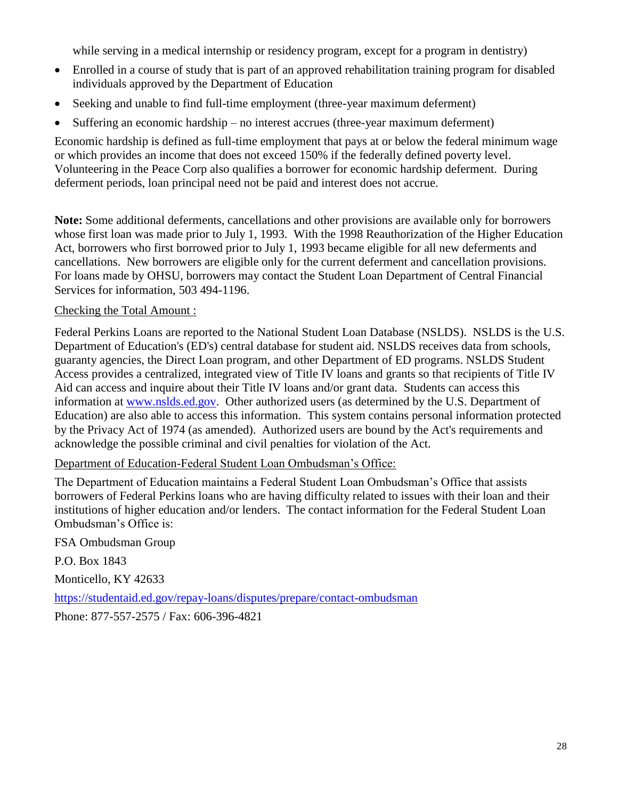while serving in a medical internship or residency program, except for a program in dentistry)

- Enrolled in a course of study that is part of an approved rehabilitation training program for disabled individuals approved by the Department of Education
- Seeking and unable to find full-time employment (three-year maximum deferment)
- Suffering an economic hardship no interest accrues (three-year maximum deferment)

Economic hardship is defined as full-time employment that pays at or below the federal minimum wage or which provides an income that does not exceed 150% if the federally defined poverty level. Volunteering in the Peace Corp also qualifies a borrower for economic hardship deferment. During deferment periods, loan principal need not be paid and interest does not accrue.

**Note:** Some additional deferments, cancellations and other provisions are available only for borrowers whose first loan was made prior to July 1, 1993. With the 1998 Reauthorization of the Higher Education Act, borrowers who first borrowed prior to July 1, 1993 became eligible for all new deferments and cancellations. New borrowers are eligible only for the current deferment and cancellation provisions. For loans made by OHSU, borrowers may contact the Student Loan Department of Central Financial Services for information, 503 494-1196.

#### Checking the Total Amount :

Federal Perkins Loans are reported to the National Student Loan Database (NSLDS). NSLDS is the U.S. Department of Education's (ED's) central database for student aid. NSLDS receives data from schools, guaranty agencies, the Direct Loan program, and other Department of ED programs. NSLDS Student Access provides a centralized, integrated view of Title IV loans and grants so that recipients of Title IV Aid can access and inquire about their Title IV loans and/or grant data. Students can access this information at [www.nslds.ed.gov.](http://www.nslds.ed.gov/) Other authorized users (as determined by the U.S. Department of Education) are also able to access this information. This system contains personal information protected by the Privacy Act of 1974 (as amended). Authorized users are bound by the Act's requirements and acknowledge the possible criminal and civil penalties for violation of the Act.

Department of Education-Federal Student Loan Ombudsman's Office:

The Department of Education maintains a Federal Student Loan Ombudsman's Office that assists borrowers of Federal Perkins loans who are having difficulty related to issues with their loan and their institutions of higher education and/or lenders. The contact information for the Federal Student Loan Ombudsman's Office is:

FSA Ombudsman Group

P.O. Box 1843

Monticello, KY 42633

<https://studentaid.ed.gov/repay-loans/disputes/prepare/contact-ombudsman>

<span id="page-27-0"></span>Phone: 877-557-2575 / Fax: 606-396-4821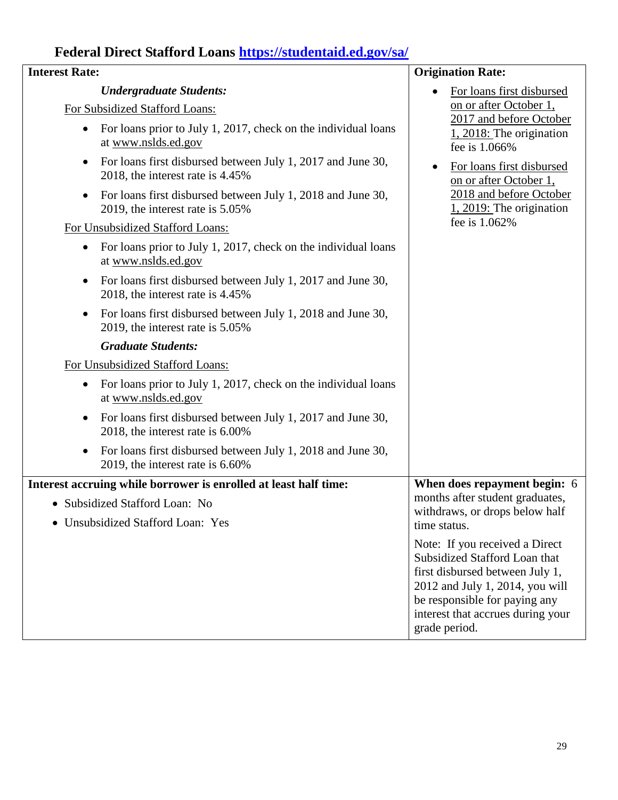# **Federal Direct Stafford Loans<https://studentaid.ed.gov/sa/>**

| <b>Interest Rate:</b>                                                                 |                                                                | <b>Origination Rate:</b>                                                                                                                                                                                                     |  |
|---------------------------------------------------------------------------------------|----------------------------------------------------------------|------------------------------------------------------------------------------------------------------------------------------------------------------------------------------------------------------------------------------|--|
| <b>Undergraduate Students:</b>                                                        |                                                                | For loans first disbursed                                                                                                                                                                                                    |  |
| For Subsidized Stafford Loans:                                                        |                                                                | on or after October 1,                                                                                                                                                                                                       |  |
| For loans prior to July 1, 2017, check on the individual loans<br>at www.nslds.ed.gov |                                                                | 2017 and before October<br>$1, 2018$ : The origination<br>fee is 1.066%                                                                                                                                                      |  |
| $\bullet$<br>2018, the interest rate is 4.45%                                         | For loans first disbursed between July 1, 2017 and June 30,    | For loans first disbursed<br>$\bullet$<br>on or after October 1,                                                                                                                                                             |  |
| $\bullet$<br>2019, the interest rate is 5.05%                                         | For loans first disbursed between July 1, 2018 and June 30,    | 2018 and before October<br>$1, 2019$ : The origination                                                                                                                                                                       |  |
| For Unsubsidized Stafford Loans:                                                      |                                                                | fee is 1.062%                                                                                                                                                                                                                |  |
| $\bullet$<br>at www.nslds.ed.gov                                                      | For loans prior to July 1, 2017, check on the individual loans |                                                                                                                                                                                                                              |  |
| $\bullet$<br>2018, the interest rate is 4.45%                                         | For loans first disbursed between July 1, 2017 and June 30,    |                                                                                                                                                                                                                              |  |
| $\bullet$<br>2019, the interest rate is 5.05%                                         | For loans first disbursed between July 1, 2018 and June 30,    |                                                                                                                                                                                                                              |  |
| <b>Graduate Students:</b>                                                             |                                                                |                                                                                                                                                                                                                              |  |
| For Unsubsidized Stafford Loans:                                                      |                                                                |                                                                                                                                                                                                                              |  |
| at www.nslds.ed.gov                                                                   | For loans prior to July 1, 2017, check on the individual loans |                                                                                                                                                                                                                              |  |
| 2018, the interest rate is $6.00\%$                                                   | For loans first disbursed between July 1, 2017 and June 30,    |                                                                                                                                                                                                                              |  |
| 2019, the interest rate is 6.60%                                                      | For loans first disbursed between July 1, 2018 and June 30,    |                                                                                                                                                                                                                              |  |
| Interest accruing while borrower is enrolled at least half time:                      |                                                                | When does repayment begin: 6                                                                                                                                                                                                 |  |
| • Subsidized Stafford Loan: No                                                        |                                                                | months after student graduates,<br>withdraws, or drops below half                                                                                                                                                            |  |
| • Unsubsidized Stafford Loan: Yes                                                     |                                                                | time status.                                                                                                                                                                                                                 |  |
|                                                                                       |                                                                | Note: If you received a Direct<br>Subsidized Stafford Loan that<br>first disbursed between July 1,<br>2012 and July 1, 2014, you will<br>be responsible for paying any<br>interest that accrues during your<br>grade period. |  |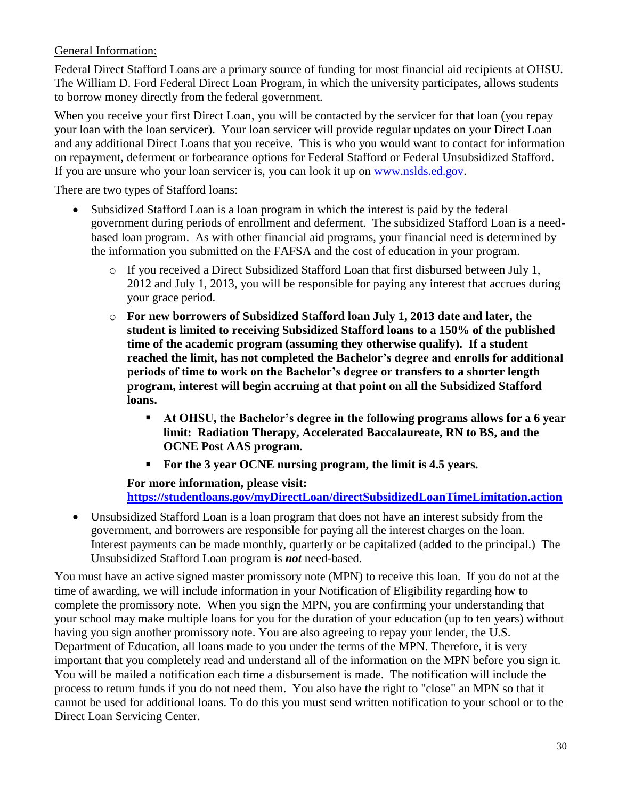#### General Information:

Federal Direct Stafford Loans are a primary source of funding for most financial aid recipients at OHSU. The William D. Ford Federal Direct Loan Program, in which the university participates, allows students to borrow money directly from the federal government.

When you receive your first Direct Loan, you will be contacted by the servicer for that loan (you repay your loan with the loan servicer). Your loan servicer will provide regular updates on your Direct Loan and any additional Direct Loans that you receive. This is who you would want to contact for information on repayment, deferment or forbearance options for Federal Stafford or Federal Unsubsidized Stafford. If you are unsure who your loan servicer is, you can look it up on [www.nslds.ed.gov.](http://www.nslds.ed.gov/)

There are two types of Stafford loans:

- Subsidized Stafford Loan is a loan program in which the interest is paid by the federal government during periods of enrollment and deferment. The subsidized Stafford Loan is a needbased loan program. As with other financial aid programs, your financial need is determined by the information you submitted on the FAFSA and the cost of education in your program.
	- o If you received a Direct Subsidized Stafford Loan that first disbursed between July 1, 2012 and July 1, 2013, you will be responsible for paying any interest that accrues during your grace period.
	- o **For new borrowers of Subsidized Stafford loan July 1, 2013 date and later, the student is limited to receiving Subsidized Stafford loans to a 150% of the published time of the academic program (assuming they otherwise qualify). If a student reached the limit, has not completed the Bachelor's degree and enrolls for additional periods of time to work on the Bachelor's degree or transfers to a shorter length program, interest will begin accruing at that point on all the Subsidized Stafford loans.**
		- **At OHSU, the Bachelor's degree in the following programs allows for a 6 year limit: Radiation Therapy, Accelerated Baccalaureate, RN to BS, and the OCNE Post AAS program.**
		- **For the 3 year OCNE nursing program, the limit is 4.5 years.**

#### **For more information, please visit: <https://studentloans.gov/myDirectLoan/directSubsidizedLoanTimeLimitation.action>**

 Unsubsidized Stafford Loan is a loan program that does not have an interest subsidy from the government, and borrowers are responsible for paying all the interest charges on the loan. Interest payments can be made monthly, quarterly or be capitalized (added to the principal.) The Unsubsidized Stafford Loan program is *not* need-based.

You must have an active signed master promissory note (MPN) to receive this loan. If you do not at the time of awarding, we will include information in your Notification of Eligibility regarding how to complete the promissory note.When you sign the MPN, you are confirming your understanding that your school may make multiple loans for you for the duration of your education (up to ten years) without having you sign another promissory note. You are also agreeing to repay your lender, the U.S. Department of Education, all loans made to you under the terms of the MPN. Therefore, it is very important that you completely read and understand all of the information on the MPN before you sign it. You will be mailed a notification each time a disbursement is made. The notification will include the process to return funds if you do not need them. You also have the right to "close" an MPN so that it cannot be used for additional loans. To do this you must send written notification to your school or to the Direct Loan Servicing Center.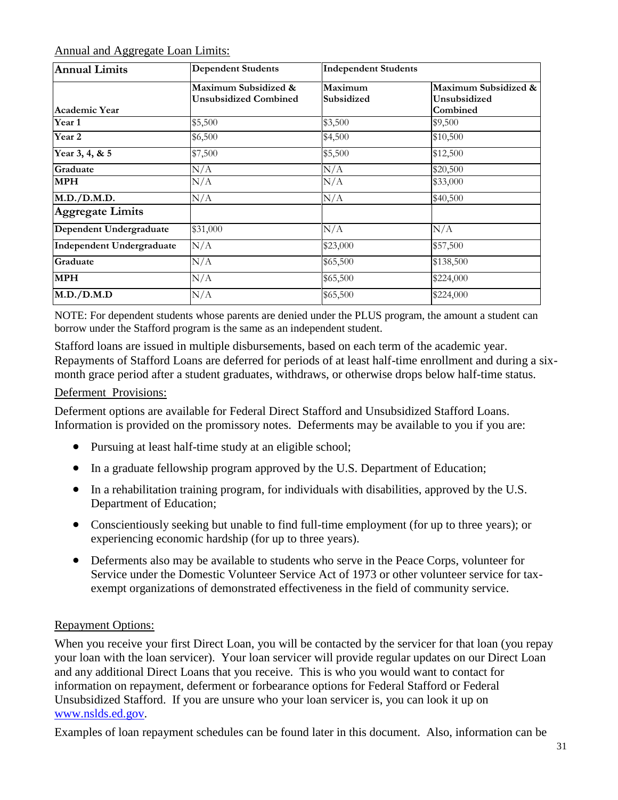#### Annual and Aggregate Loan Limits:

| <b>Annual Limits</b>             | <b>Dependent Students</b>                            | <b>Independent Students</b> |                                                    |
|----------------------------------|------------------------------------------------------|-----------------------------|----------------------------------------------------|
| <b>Academic Year</b>             | Maximum Subsidized &<br><b>Unsubsidized Combined</b> | Maximum<br>Subsidized       | Maximum Subsidized &  <br>Unsubsidized<br>Combined |
| Year 1                           | \$5,500                                              | \$3,500                     | \$9,500                                            |
| Year 2                           | \$6,500                                              | \$4,500                     | \$10,500                                           |
| Year 3, 4, & 5                   | \$7,500                                              | \$5,500                     | \$12,500                                           |
| Graduate                         | N/A                                                  | N/A                         | \$20,500                                           |
| <b>MPH</b>                       | N/A                                                  | N/A                         | \$33,000                                           |
| M.D./D.M.D.                      | N/A                                                  | N/A                         | \$40,500                                           |
| <b>Aggregate Limits</b>          |                                                      |                             |                                                    |
| Dependent Undergraduate          | \$31,000                                             | N/A                         | N/A                                                |
| <b>Independent Undergraduate</b> | N/A                                                  | \$23,000                    | \$57,500                                           |
| Graduate                         | N/A                                                  | \$65,500                    | \$138,500                                          |
| <b>MPH</b>                       | N/A                                                  | \$65,500                    | \$224,000                                          |
| M.D./D.M.D                       | N/A                                                  | \$65,500                    | \$224,000                                          |

NOTE: For dependent students whose parents are denied under the PLUS program, the amount a student can borrow under the Stafford program is the same as an independent student.

Stafford loans are issued in multiple disbursements, based on each term of the academic year. Repayments of Stafford Loans are deferred for periods of at least half-time enrollment and during a sixmonth grace period after a student graduates, withdraws, or otherwise drops below half-time status.

#### Deferment Provisions:

Deferment options are available for Federal Direct Stafford and Unsubsidized Stafford Loans. Information is provided on the promissory notes. Deferments may be available to you if you are:

- Pursuing at least half-time study at an eligible school;
- In a graduate fellowship program approved by the U.S. Department of Education;
- In a rehabilitation training program, for individuals with disabilities, approved by the U.S. Department of Education;
- Conscientiously seeking but unable to find full-time employment (for up to three years); or experiencing economic hardship (for up to three years).
- Deferments also may be available to students who serve in the Peace Corps, volunteer for Service under the Domestic Volunteer Service Act of 1973 or other volunteer service for taxexempt organizations of demonstrated effectiveness in the field of community service.

#### Repayment Options:

When you receive your first Direct Loan, you will be contacted by the servicer for that loan (you repay your loan with the loan servicer). Your loan servicer will provide regular updates on our Direct Loan and any additional Direct Loans that you receive. This is who you would want to contact for information on repayment, deferment or forbearance options for Federal Stafford or Federal Unsubsidized Stafford. If you are unsure who your loan servicer is, you can look it up on [www.nslds.ed.gov.](http://www.nslds.ed.gov/)

Examples of loan repayment schedules can be found later in this document. Also, information can be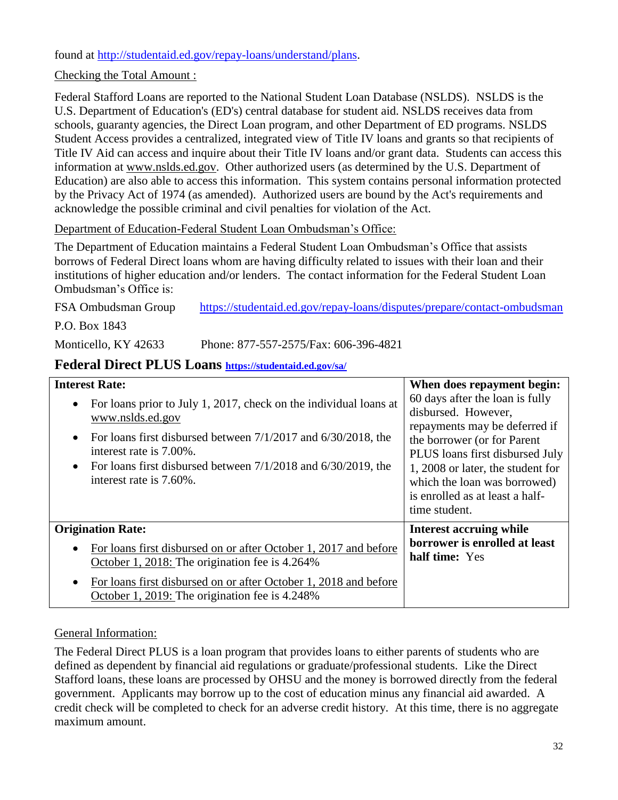found at [http://studentaid.ed.gov/repay-loans/understand/plans.](http://studentaid.ed.gov/repay-loans/understand/plans)

Checking the Total Amount :

Federal Stafford Loans are reported to the National Student Loan Database (NSLDS). NSLDS is the U.S. Department of Education's (ED's) central database for student aid. NSLDS receives data from schools, guaranty agencies, the Direct Loan program, and other Department of ED programs. NSLDS Student Access provides a centralized, integrated view of Title IV loans and grants so that recipients of Title IV Aid can access and inquire about their Title IV loans and/or grant data. Students can access this information at [www.nslds.ed.gov.](http://www.nslds.ed.gov/) Other authorized users (as determined by the U.S. Department of Education) are also able to access this information. This system contains personal information protected by the Privacy Act of 1974 (as amended). Authorized users are bound by the Act's requirements and acknowledge the possible criminal and civil penalties for violation of the Act.

#### Department of Education-Federal Student Loan Ombudsman's Office:

The Department of Education maintains a Federal Student Loan Ombudsman's Office that assists borrows of Federal Direct loans whom are having difficulty related to issues with their loan and their institutions of higher education and/or lenders. The contact information for the Federal Student Loan Ombudsman's Office is:

FSA Ombudsman Group <https://studentaid.ed.gov/repay-loans/disputes/prepare/contact-ombudsman>

P.O. Box 1843

<span id="page-31-0"></span>Monticello, KY 42633 Phone: 877-557-2575/Fax: 606-396-4821

### **Federal Direct PLUS Loans <https://studentaid.ed.gov/sa/>**

| <b>Interest Rate:</b>                                                                                                                                                                                                                                                                                                     | When does repayment begin:                                                                                                                                                                                                                                                         |
|---------------------------------------------------------------------------------------------------------------------------------------------------------------------------------------------------------------------------------------------------------------------------------------------------------------------------|------------------------------------------------------------------------------------------------------------------------------------------------------------------------------------------------------------------------------------------------------------------------------------|
| For loans prior to July 1, 2017, check on the individual loans at<br>$\bullet$<br>www.nslds.ed.gov<br>For loans first disbursed between 7/1/2017 and 6/30/2018, the<br>$\bullet$<br>interest rate is 7.00%.<br>For loans first disbursed between $7/1/2018$ and $6/30/2019$ , the<br>$\bullet$<br>interest rate is 7.60%. | 60 days after the loan is fully<br>disbursed. However,<br>repayments may be deferred if<br>the borrower (or for Parent<br>PLUS loans first disbursed July<br>1, 2008 or later, the student for<br>which the loan was borrowed)<br>is enrolled as at least a half-<br>time student. |
| <b>Origination Rate:</b>                                                                                                                                                                                                                                                                                                  | Interest accruing while                                                                                                                                                                                                                                                            |
| For loans first disbursed on or after October 1, 2017 and before<br>$\bullet$<br>October 1, 2018: The origination fee is 4.264%                                                                                                                                                                                           | borrower is enrolled at least<br>half time: Yes                                                                                                                                                                                                                                    |
| For loans first disbursed on or after October 1, 2018 and before<br>$\bullet$<br>October 1, 2019: The origination fee is 4.248%                                                                                                                                                                                           |                                                                                                                                                                                                                                                                                    |

#### General Information:

The Federal Direct PLUS is a loan program that provides loans to either parents of students who are defined as dependent by financial aid regulations or graduate/professional students. Like the Direct Stafford loans, these loans are processed by OHSU and the money is borrowed directly from the federal government. Applicants may borrow up to the cost of education minus any financial aid awarded. A credit check will be completed to check for an adverse credit history. At this time, there is no aggregate maximum amount.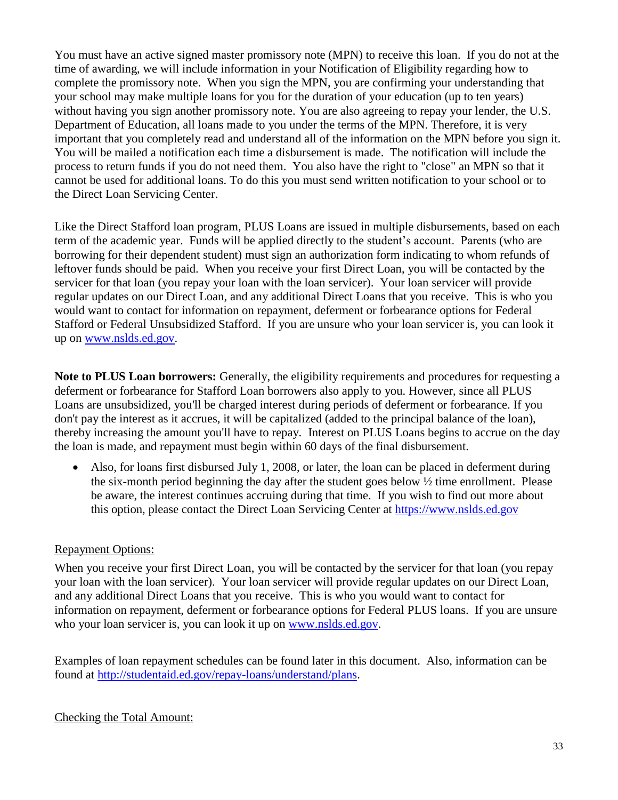You must have an active signed master promissory note (MPN) to receive this loan. If you do not at the time of awarding, we will include information in your Notification of Eligibility regarding how to complete the promissory note.When you sign the MPN, you are confirming your understanding that your school may make multiple loans for you for the duration of your education (up to ten years) without having you sign another promissory note. You are also agreeing to repay your lender, the U.S. Department of Education, all loans made to you under the terms of the MPN. Therefore, it is very important that you completely read and understand all of the information on the MPN before you sign it. You will be mailed a notification each time a disbursement is made. The notification will include the process to return funds if you do not need them. You also have the right to "close" an MPN so that it cannot be used for additional loans. To do this you must send written notification to your school or to the Direct Loan Servicing Center.

Like the Direct Stafford loan program, PLUS Loans are issued in multiple disbursements, based on each term of the academic year. Funds will be applied directly to the student's account. Parents (who are borrowing for their dependent student) must sign an authorization form indicating to whom refunds of leftover funds should be paid. When you receive your first Direct Loan, you will be contacted by the servicer for that loan (you repay your loan with the loan servicer). Your loan servicer will provide regular updates on our Direct Loan, and any additional Direct Loans that you receive. This is who you would want to contact for information on repayment, deferment or forbearance options for Federal Stafford or Federal Unsubsidized Stafford. If you are unsure who your loan servicer is, you can look it up on [www.nslds.ed.gov.](http://www.nslds.ed.gov/)

**Note to PLUS Loan borrowers:** Generally, the eligibility requirements and procedures for requesting a deferment or forbearance for Stafford Loan borrowers also apply to you. However, since all PLUS Loans are unsubsidized, you'll be charged interest during periods of deferment or forbearance. If you don't pay the interest as it accrues, it will be capitalized (added to the principal balance of the loan), thereby increasing the amount you'll have to repay. Interest on PLUS Loans begins to accrue on the day the loan is made, and repayment must begin within 60 days of the final disbursement.

 Also, for loans first disbursed July 1, 2008, or later, the loan can be placed in deferment during the six-month period beginning the day after the student goes below  $\frac{1}{2}$  time enrollment. Please be aware, the interest continues accruing during that time. If you wish to find out more about this option, please contact the Direct Loan Servicing Center at [https://www.nslds.ed.gov](https://www.nslds.ed.gov/)

#### Repayment Options:

When you receive your first Direct Loan, you will be contacted by the servicer for that loan (you repay your loan with the loan servicer). Your loan servicer will provide regular updates on our Direct Loan, and any additional Direct Loans that you receive. This is who you would want to contact for information on repayment, deferment or forbearance options for Federal PLUS loans. If you are unsure who your loan servicer is, you can look it up on [www.nslds.ed.gov.](http://www.nslds.ed.gov/)

Examples of loan repayment schedules can be found later in this document. Also, information can be found at [http://studentaid.ed.gov/repay-loans/understand/plans.](http://studentaid.ed.gov/repay-loans/understand/plans)

#### Checking the Total Amount: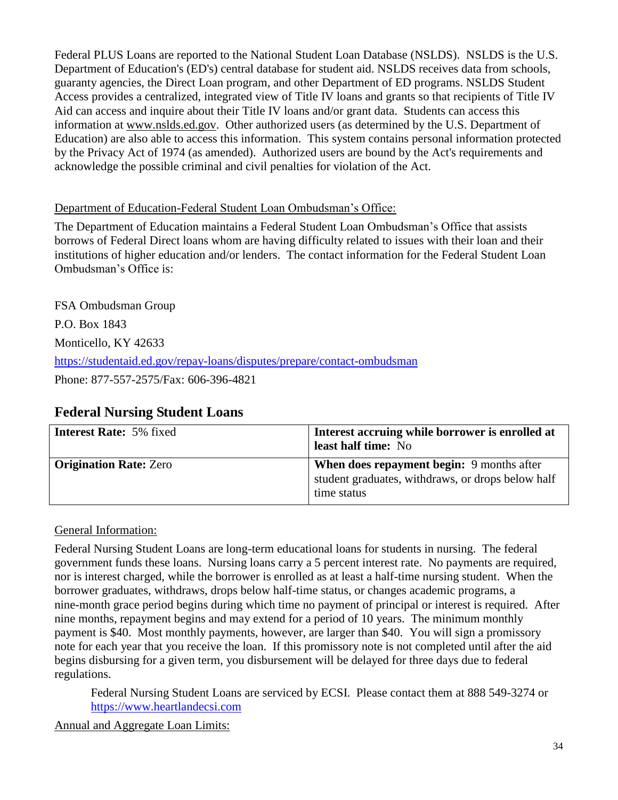Federal PLUS Loans are reported to the National Student Loan Database (NSLDS). NSLDS is the U.S. Department of Education's (ED's) central database for student aid. NSLDS receives data from schools, guaranty agencies, the Direct Loan program, and other Department of ED programs. NSLDS Student Access provides a centralized, integrated view of Title IV loans and grants so that recipients of Title IV Aid can access and inquire about their Title IV loans and/or grant data. Students can access this information at [www.nslds.ed.gov.](http://www.nslds.ed.gov/) Other authorized users (as determined by the U.S. Department of Education) are also able to access this information. This system contains personal information protected by the Privacy Act of 1974 (as amended). Authorized users are bound by the Act's requirements and acknowledge the possible criminal and civil penalties for violation of the Act.

#### Department of Education-Federal Student Loan Ombudsman's Office:

The Department of Education maintains a Federal Student Loan Ombudsman's Office that assists borrows of Federal Direct loans whom are having difficulty related to issues with their loan and their institutions of higher education and/or lenders. The contact information for the Federal Student Loan Ombudsman's Office is:

FSA Ombudsman Group P.O. Box 1843 Monticello, KY 42633 <https://studentaid.ed.gov/repay-loans/disputes/prepare/contact-ombudsman> Phone: 877-557-2575/Fax: 606-396-4821

## <span id="page-33-0"></span>**Federal Nursing Student Loans**

| <b>Interest Rate: 5% fixed</b> | Interest accruing while borrower is enrolled at<br>least half time: No                                               |
|--------------------------------|----------------------------------------------------------------------------------------------------------------------|
| <b>Origination Rate: Zero</b>  | <b>When does repayment begin:</b> 9 months after<br>student graduates, withdraws, or drops below half<br>time status |

#### General Information:

Federal Nursing Student Loans are long-term educational loans for students in nursing. The federal government funds these loans.Nursing loans carry a 5 percent interest rate. No payments are required, nor is interest charged, while the borrower is enrolled as at least a half-time nursing student. When the borrower graduates, withdraws, drops below half-time status, or changes academic programs, a nine-month grace period begins during which time no payment of principal or interest is required. After nine months, repayment begins and may extend for a period of 10 years. The minimum monthly payment is \$40. Most monthly payments, however, are larger than \$40. You will sign a promissory note for each year that you receive the loan. If this promissory note is not completed until after the aid begins disbursing for a given term, you disbursement will be delayed for three days due to federal regulations.

Federal Nursing Student Loans are serviced by ECSI. Please contact them at 888 549-3274 or [https://www.heartlandecsi.com](https://www.heartlandecsi.com/)

Annual and Aggregate Loan Limits: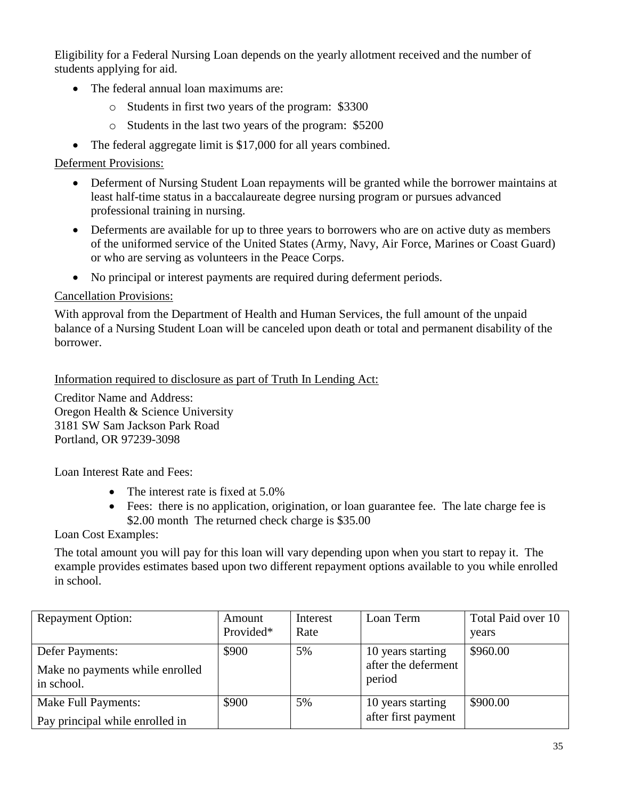Eligibility for a Federal Nursing Loan depends on the yearly allotment received and the number of students applying for aid.

- The federal annual loan maximums are:
	- o Students in first two years of the program: \$3300
	- o Students in the last two years of the program: \$5200
- The federal aggregate limit is \$17,000 for all years combined.

#### Deferment Provisions:

- Deferment of Nursing Student Loan repayments will be granted while the borrower maintains at least half-time status in a baccalaureate degree nursing program or pursues advanced professional training in nursing.
- Deferments are available for up to three years to borrowers who are on active duty as members of the uniformed service of the United States (Army, Navy, Air Force, Marines or Coast Guard) or who are serving as volunteers in the Peace Corps.
- No principal or interest payments are required during deferment periods.

#### Cancellation Provisions:

With approval from the Department of Health and Human Services, the full amount of the unpaid balance of a Nursing Student Loan will be canceled upon death or total and permanent disability of the borrower.

Information required to disclosure as part of Truth In Lending Act:

Creditor Name and Address: Oregon Health & Science University 3181 SW Sam Jackson Park Road Portland, OR 97239-3098

Loan Interest Rate and Fees:

- The interest rate is fixed at 5.0%
- Fees: there is no application, origination, or loan guarantee fee. The late charge fee is \$2.00 month The returned check charge is \$35.00

Loan Cost Examples:

The total amount you will pay for this loan will vary depending upon when you start to repay it. The example provides estimates based upon two different repayment options available to you while enrolled in school.

| <b>Repayment Option:</b>                                         | Amount<br>Provided* | Interest<br>Rate | Loan Term                                          | Total Paid over 10<br>years |
|------------------------------------------------------------------|---------------------|------------------|----------------------------------------------------|-----------------------------|
| Defer Payments:<br>Make no payments while enrolled<br>in school. | \$900               | 5%               | 10 years starting<br>after the deferment<br>period | \$960.00                    |
| <b>Make Full Payments:</b><br>Pay principal while enrolled in    | \$900               | 5%               | 10 years starting<br>after first payment           | \$900.00                    |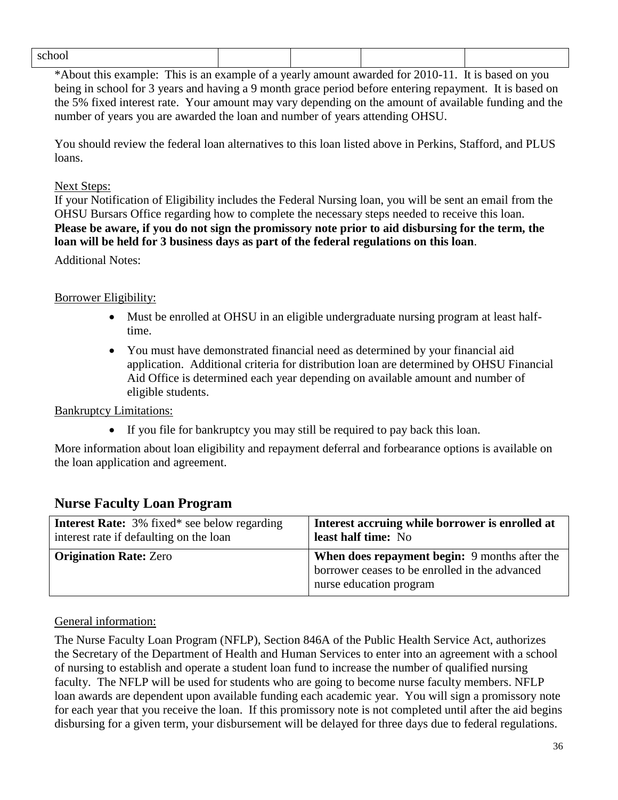\*About this example: This is an example of a yearly amount awarded for 2010-11. It is based on you being in school for 3 years and having a 9 month grace period before entering repayment. It is based on the 5% fixed interest rate. Your amount may vary depending on the amount of available funding and the number of years you are awarded the loan and number of years attending OHSU.

You should review the federal loan alternatives to this loan listed above in Perkins, Stafford, and PLUS loans.

#### Next Steps:

If your Notification of Eligibility includes the Federal Nursing loan, you will be sent an email from the OHSU Bursars Office regarding how to complete the necessary steps needed to receive this loan. **Please be aware, if you do not sign the promissory note prior to aid disbursing for the term, the loan will be held for 3 business days as part of the federal regulations on this loan**.

#### Additional Notes:

#### Borrower Eligibility:

- Must be enrolled at OHSU in an eligible undergraduate nursing program at least halftime.
- You must have demonstrated financial need as determined by your financial aid application. Additional criteria for distribution loan are determined by OHSU Financial Aid Office is determined each year depending on available amount and number of eligible students.

#### Bankruptcy Limitations:

<span id="page-35-0"></span>If you file for bankruptcy you may still be required to pay back this loan.

More information about loan eligibility and repayment deferral and forbearance options is available on the loan application and agreement.

#### **Nurse Faculty Loan Program**

| <b>Interest Rate:</b> 3% fixed* see below regarding | Interest accruing while borrower is enrolled at                                                                            |
|-----------------------------------------------------|----------------------------------------------------------------------------------------------------------------------------|
| interest rate if defaulting on the loan             | least half time: No                                                                                                        |
| <b>Origination Rate: Zero</b>                       | When does repayment begin: 9 months after the<br>borrower ceases to be enrolled in the advanced<br>nurse education program |

#### General information:

The Nurse Faculty Loan Program (NFLP), Section 846A of the Public Health Service Act, authorizes the Secretary of the Department of Health and Human Services to enter into an agreement with a school of nursing to establish and operate a student loan fund to increase the number of qualified nursing faculty. The NFLP will be used for students who are going to become nurse faculty members. NFLP loan awards are dependent upon available funding each academic year. You will sign a promissory note for each year that you receive the loan. If this promissory note is not completed until after the aid begins disbursing for a given term, your disbursement will be delayed for three days due to federal regulations.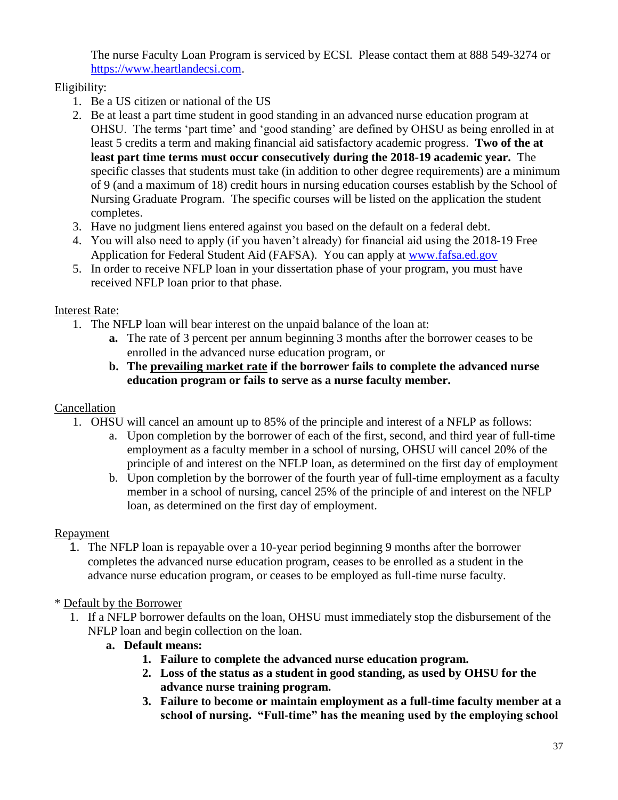The nurse Faculty Loan Program is serviced by ECSI. Please contact them at 888 549-3274 or [https://www.heartlandecsi.com.](https://www.heartlandecsi.com/)

## Eligibility:

- 1. Be a US citizen or national of the US
- 2. Be at least a part time student in good standing in an advanced nurse education program at OHSU. The terms 'part time' and 'good standing' are defined by OHSU as being enrolled in at least 5 credits a term and making financial aid satisfactory academic progress. **Two of the at least part time terms must occur consecutively during the 2018-19 academic year.** The specific classes that students must take (in addition to other degree requirements) are a minimum of 9 (and a maximum of 18) credit hours in nursing education courses establish by the School of Nursing Graduate Program. The specific courses will be listed on the application the student completes.
- 3. Have no judgment liens entered against you based on the default on a federal debt.
- 4. You will also need to apply (if you haven't already) for financial aid using the 2018-19 Free Application for Federal Student Aid (FAFSA). You can apply at [www.fafsa.ed.gov](http://www.fafsa.ed.gov/)
- 5. In order to receive NFLP loan in your dissertation phase of your program, you must have received NFLP loan prior to that phase.

## Interest Rate:

- 1. The NFLP loan will bear interest on the unpaid balance of the loan at:
	- **a.** The rate of 3 percent per annum beginning 3 months after the borrower ceases to be enrolled in the advanced nurse education program, or
	- **b. The prevailing market rate if the borrower fails to complete the advanced nurse education program or fails to serve as a nurse faculty member.**

## Cancellation

- 1. OHSU will cancel an amount up to 85% of the principle and interest of a NFLP as follows:
	- a. Upon completion by the borrower of each of the first, second, and third year of full-time employment as a faculty member in a school of nursing, OHSU will cancel 20% of the principle of and interest on the NFLP loan, as determined on the first day of employment
	- b. Upon completion by the borrower of the fourth year of full-time employment as a faculty member in a school of nursing, cancel 25% of the principle of and interest on the NFLP loan, as determined on the first day of employment.

## Repayment

1. The NFLP loan is repayable over a 10-year period beginning 9 months after the borrower completes the advanced nurse education program, ceases to be enrolled as a student in the advance nurse education program, or ceases to be employed as full-time nurse faculty.

## \* Default by the Borrower

- 1. If a NFLP borrower defaults on the loan, OHSU must immediately stop the disbursement of the NFLP loan and begin collection on the loan.
	- **a. Default means:**
		- **1. Failure to complete the advanced nurse education program.**
		- **2. Loss of the status as a student in good standing, as used by OHSU for the advance nurse training program.**
		- **3. Failure to become or maintain employment as a full-time faculty member at a school of nursing. "Full-time" has the meaning used by the employing school**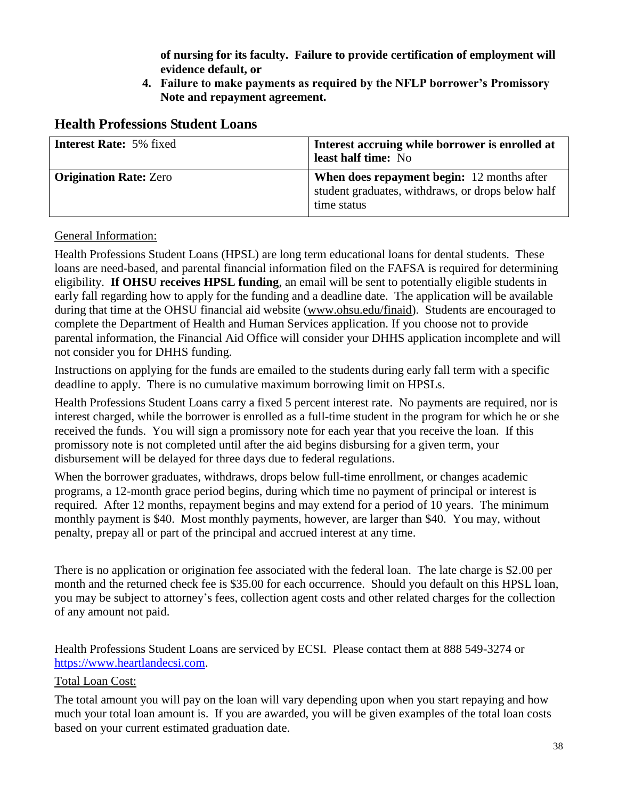**of nursing for its faculty. Failure to provide certification of employment will evidence default, or**

**4. Failure to make payments as required by the NFLP borrower's Promissory Note and repayment agreement.**

### <span id="page-37-0"></span>**Health Professions Student Loans**

| <b>Interest Rate: 5% fixed</b> | Interest accruing while borrower is enrolled at<br>least half time: No                                                |
|--------------------------------|-----------------------------------------------------------------------------------------------------------------------|
| <b>Origination Rate: Zero</b>  | <b>When does repayment begin:</b> 12 months after<br>student graduates, withdraws, or drops below half<br>time status |

#### General Information:

Health Professions Student Loans (HPSL) are long term educational loans for dental students. These loans are need-based, and parental financial information filed on the FAFSA is required for determining eligibility. **If OHSU receives HPSL funding**, an email will be sent to potentially eligible students in early fall regarding how to apply for the funding and a deadline date. The application will be available during that time at the OHSU financial aid website [\(www.ohsu.edu/finaid\)](http://www.ohsu.edu/finaid). Students are encouraged to complete the Department of Health and Human Services application. If you choose not to provide parental information, the Financial Aid Office will consider your DHHS application incomplete and will not consider you for DHHS funding.

Instructions on applying for the funds are emailed to the students during early fall term with a specific deadline to apply. There is no cumulative maximum borrowing limit on HPSLs.

Health Professions Student Loans carry a fixed 5 percent interest rate. No payments are required, nor is interest charged, while the borrower is enrolled as a full-time student in the program for which he or she received the funds. You will sign a promissory note for each year that you receive the loan. If this promissory note is not completed until after the aid begins disbursing for a given term, your disbursement will be delayed for three days due to federal regulations.

When the borrower graduates, withdraws, drops below full-time enrollment, or changes academic programs, a 12-month grace period begins, during which time no payment of principal or interest is required. After 12 months, repayment begins and may extend for a period of 10 years. The minimum monthly payment is \$40. Most monthly payments, however, are larger than \$40. You may, without penalty, prepay all or part of the principal and accrued interest at any time.

There is no application or origination fee associated with the federal loan. The late charge is \$2.00 per month and the returned check fee is \$35.00 for each occurrence. Should you default on this HPSL loan, you may be subject to attorney's fees, collection agent costs and other related charges for the collection of any amount not paid.

Health Professions Student Loans are serviced by ECSI. Please contact them at 888 549-3274 or [https://www.heartlandecsi.com.](https://www.heartlandecsi.com/)

#### Total Loan Cost:

The total amount you will pay on the loan will vary depending upon when you start repaying and how much your total loan amount is. If you are awarded, you will be given examples of the total loan costs based on your current estimated graduation date.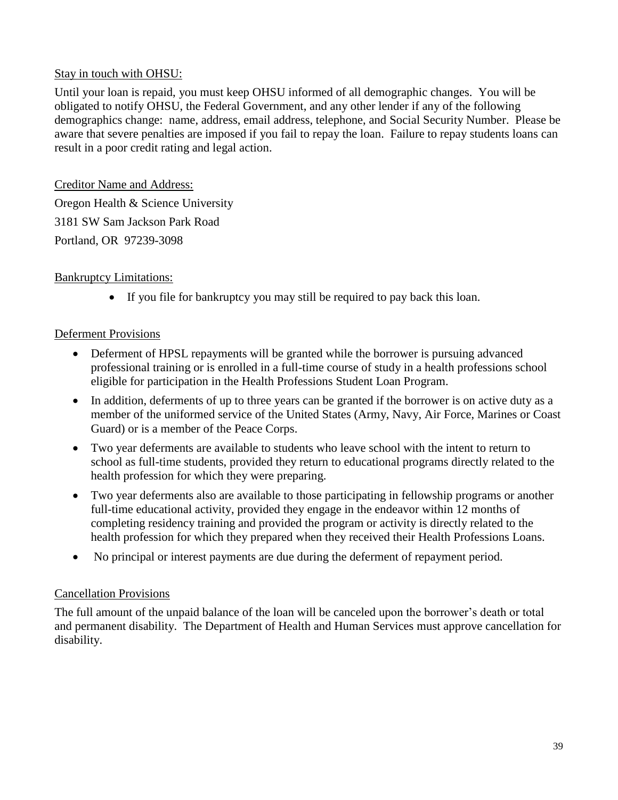#### Stay in touch with OHSU:

Until your loan is repaid, you must keep OHSU informed of all demographic changes. You will be obligated to notify OHSU, the Federal Government, and any other lender if any of the following demographics change: name, address, email address, telephone, and Social Security Number. Please be aware that severe penalties are imposed if you fail to repay the loan. Failure to repay students loans can result in a poor credit rating and legal action.

Creditor Name and Address: Oregon Health & Science University 3181 SW Sam Jackson Park Road Portland, OR 97239-3098

#### Bankruptcy Limitations:

If you file for bankruptcy you may still be required to pay back this loan.

#### Deferment Provisions

- Deferment of HPSL repayments will be granted while the borrower is pursuing advanced professional training or is enrolled in a full-time course of study in a health professions school eligible for participation in the Health Professions Student Loan Program.
- In addition, deferments of up to three years can be granted if the borrower is on active duty as a member of the uniformed service of the United States (Army, Navy, Air Force, Marines or Coast Guard) or is a member of the Peace Corps.
- Two year deferments are available to students who leave school with the intent to return to school as full-time students, provided they return to educational programs directly related to the health profession for which they were preparing.
- Two year deferments also are available to those participating in fellowship programs or another full-time educational activity, provided they engage in the endeavor within 12 months of completing residency training and provided the program or activity is directly related to the health profession for which they prepared when they received their Health Professions Loans.
- No principal or interest payments are due during the deferment of repayment period.

#### Cancellation Provisions

<span id="page-38-0"></span>The full amount of the unpaid balance of the loan will be canceled upon the borrower's death or total and permanent disability. The Department of Health and Human Services must approve cancellation for disability.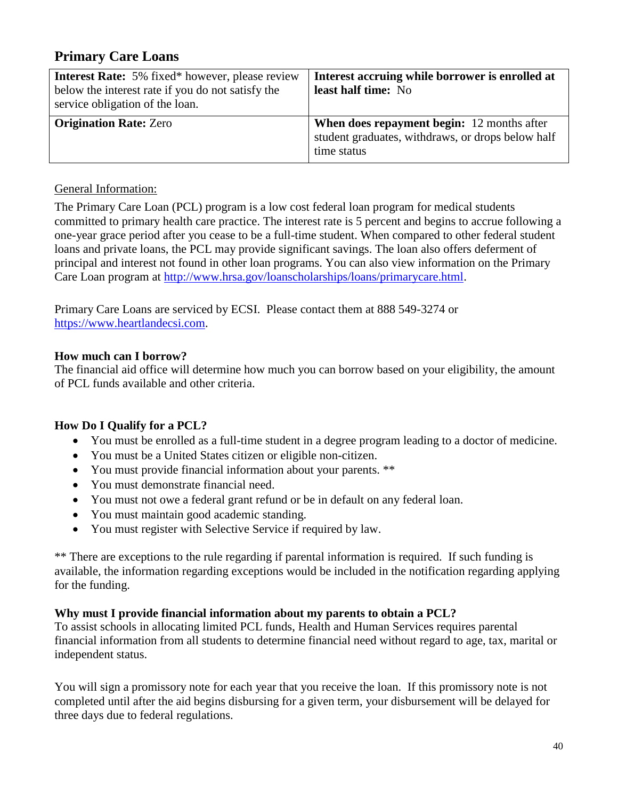## **Primary Care Loans**

| <b>Interest Rate:</b> 5% fixed* however, please review | Interest accruing while borrower is enrolled at   |
|--------------------------------------------------------|---------------------------------------------------|
| below the interest rate if you do not satisfy the      | least half time: No                               |
| service obligation of the loan.                        |                                                   |
| <b>Origination Rate: Zero</b>                          | <b>When does repayment begin:</b> 12 months after |
|                                                        | student graduates, withdraws, or drops below half |
|                                                        | time status                                       |

#### General Information:

The Primary Care Loan (PCL) program is a low cost federal loan program for medical students committed to primary health care practice. The interest rate is 5 percent and begins to accrue following a one-year grace period after you cease to be a full-time student. When compared to other federal student loans and private loans, the PCL may provide significant savings. The loan also offers deferment of principal and interest not found in other loan programs. You can also view information on the Primary Care Loan program at [http://www.hrsa.gov/loanscholarships/loans/primarycare.html.](http://www.hrsa.gov/loanscholarships/loans/primarycare.html)

Primary Care Loans are serviced by ECSI. Please contact them at 888 549-3274 or [https://www.heartlandecsi.com.](https://www.heartlandecsi.com/)

#### **How much can I borrow?**

The financial aid office will determine how much you can borrow based on your eligibility, the amount of PCL funds available and other criteria.

#### **How Do I Qualify for a PCL?**

- You must be enrolled as a full-time student in a degree program leading to a doctor of medicine.
- You must be a United States citizen or eligible non-citizen.
- You must provide financial information about your parents. \*\*
- You must demonstrate financial need.
- You must not owe a federal grant refund or be in default on any federal loan.
- You must maintain good academic standing.
- You must register with Selective Service if required by law.

\*\* There are exceptions to the rule regarding if parental information is required. If such funding is available, the information regarding exceptions would be included in the notification regarding applying for the funding.

#### **Why must I provide financial information about my parents to obtain a PCL?**

To assist schools in allocating limited PCL funds, Health and Human Services requires parental financial information from all students to determine financial need without regard to age, tax, marital or independent status.

You will sign a promissory note for each year that you receive the loan. If this promissory note is not completed until after the aid begins disbursing for a given term, your disbursement will be delayed for three days due to federal regulations.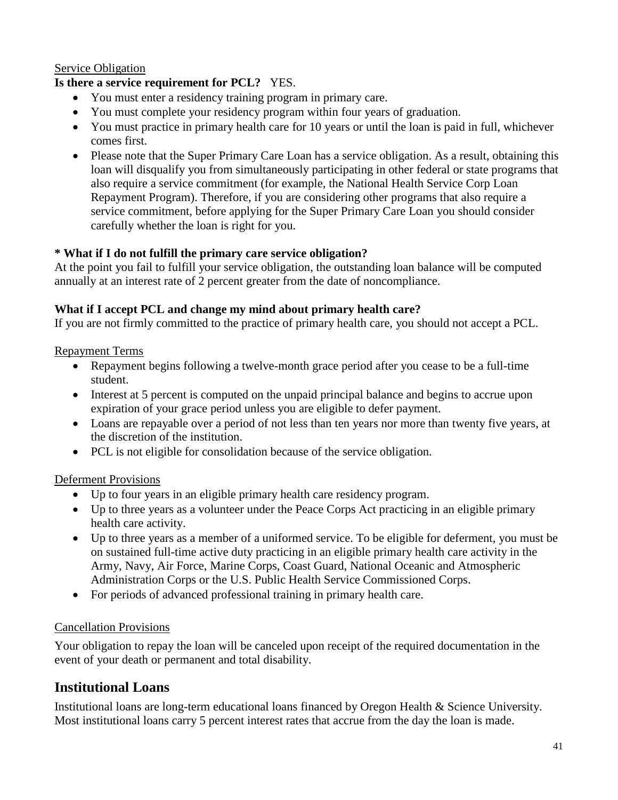#### Service Obligation

#### **Is there a service requirement for PCL?** YES.

- You must enter a residency training program in primary care.
- You must complete your residency program within four years of graduation.
- You must practice in primary health care for 10 years or until the loan is paid in full, whichever comes first.
- Please note that the Super Primary Care Loan has a service obligation. As a result, obtaining this loan will disqualify you from simultaneously participating in other federal or state programs that also require a service commitment (for example, the National Health Service Corp Loan Repayment Program). Therefore, if you are considering other programs that also require a service commitment, before applying for the Super Primary Care Loan you should consider carefully whether the loan is right for you.

#### **\* What if I do not fulfill the primary care service obligation?**

At the point you fail to fulfill your service obligation, the outstanding loan balance will be computed annually at an interest rate of 2 percent greater from the date of noncompliance.

#### **What if I accept PCL and change my mind about primary health care?**

If you are not firmly committed to the practice of primary health care, you should not accept a PCL.

#### Repayment Terms

- Repayment begins following a twelve-month grace period after you cease to be a full-time student.
- Interest at 5 percent is computed on the unpaid principal balance and begins to accrue upon expiration of your grace period unless you are eligible to defer payment.
- Loans are repayable over a period of not less than ten years nor more than twenty five years, at the discretion of the institution.
- PCL is not eligible for consolidation because of the service obligation.

#### Deferment Provisions

- Up to four years in an eligible primary health care residency program.
- Up to three years as a volunteer under the Peace Corps Act practicing in an eligible primary health care activity.
- Up to three years as a member of a uniformed service. To be eligible for deferment, you must be on sustained full-time active duty practicing in an eligible primary health care activity in the Army, Navy, Air Force, Marine Corps, Coast Guard, National Oceanic and Atmospheric Administration Corps or the U.S. Public Health Service Commissioned Corps.
- For periods of advanced professional training in primary health care.

#### Cancellation Provisions

Your obligation to repay the loan will be canceled upon receipt of the required documentation in the event of your death or permanent and total disability.

#### <span id="page-40-0"></span>**Institutional Loans**

Institutional loans are long-term educational loans financed by Oregon Health & Science University. Most institutional loans carry 5 percent interest rates that accrue from the day the loan is made.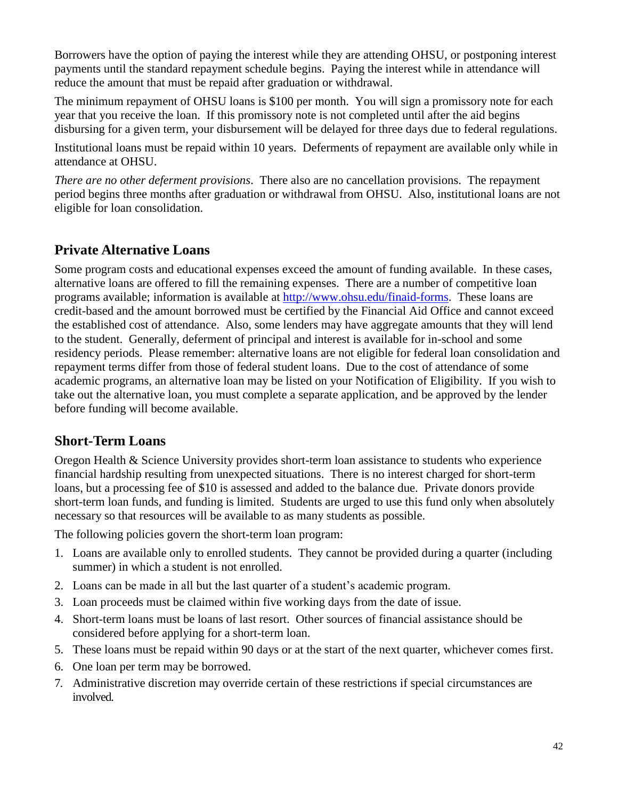Borrowers have the option of paying the interest while they are attending OHSU, or postponing interest payments until the standard repayment schedule begins. Paying the interest while in attendance will reduce the amount that must be repaid after graduation or withdrawal.

The minimum repayment of OHSU loans is \$100 per month.You will sign a promissory note for each year that you receive the loan. If this promissory note is not completed until after the aid begins disbursing for a given term, your disbursement will be delayed for three days due to federal regulations.

Institutional loans must be repaid within 10 years. Deferments of repayment are available only while in attendance at OHSU.

*There are no other deferment provisions*. There also are no cancellation provisions. The repayment period begins three months after graduation or withdrawal from OHSU. Also, institutional loans are not eligible for loan consolidation.

## <span id="page-41-0"></span>**Private Alternative Loans**

Some program costs and educational expenses exceed the amount of funding available. In these cases, alternative loans are offered to fill the remaining expenses. There are a number of competitive loan programs available; information is available at [http://www.ohsu.edu/finaid-forms.](http://www.ohsu.edu/finaid-forms) These loans are credit-based and the amount borrowed must be certified by the Financial Aid Office and cannot exceed the established cost of attendance. Also, some lenders may have aggregate amounts that they will lend to the student. Generally, deferment of principal and interest is available for in-school and some residency periods. Please remember: alternative loans are not eligible for federal loan consolidation and repayment terms differ from those of federal student loans. Due to the cost of attendance of some academic programs, an alternative loan may be listed on your Notification of Eligibility. If you wish to take out the alternative loan, you must complete a separate application, and be approved by the lender before funding will become available.

## <span id="page-41-1"></span>**Short-Term Loans**

Oregon Health & Science University provides short-term loan assistance to students who experience financial hardship resulting from unexpected situations. There is no interest charged for short-term loans, but a processing fee of \$10 is assessed and added to the balance due. Private donors provide short-term loan funds, and funding is limited. Students are urged to use this fund only when absolutely necessary so that resources will be available to as many students as possible.

The following policies govern the short-term loan program:

- 1. Loans are available only to enrolled students. They cannot be provided during a quarter (including summer) in which a student is not enrolled.
- 2. Loans can be made in all but the last quarter of a student's academic program.
- 3. Loan proceeds must be claimed within five working days from the date of issue.
- 4. Short-term loans must be loans of last resort. Other sources of financial assistance should be considered before applying for a short-term loan.
- 5. These loans must be repaid within 90 days or at the start of the next quarter, whichever comes first.
- 6. One loan per term may be borrowed.
- 7. Administrative discretion may override certain of these restrictions if special circumstances are involved.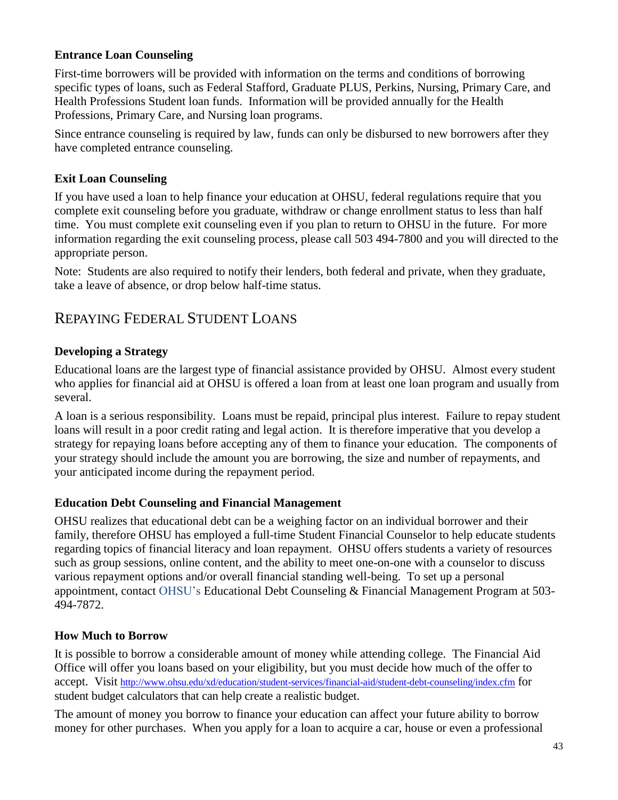#### <span id="page-42-0"></span>**Entrance Loan Counseling**

First-time borrowers will be provided with information on the terms and conditions of borrowing specific types of loans, such as Federal Stafford, Graduate PLUS, Perkins, Nursing, Primary Care, and Health Professions Student loan funds. Information will be provided annually for the Health Professions, Primary Care, and Nursing loan programs.

Since entrance counseling is required by law, funds can only be disbursed to new borrowers after they have completed entrance counseling.

#### <span id="page-42-1"></span>**Exit Loan Counseling**

If you have used a loan to help finance your education at OHSU, federal regulations require that you complete exit counseling before you graduate, withdraw or change enrollment status to less than half time. You must complete exit counseling even if you plan to return to OHSU in the future. For more information regarding the exit counseling process, please call 503 494-7800 and you will directed to the appropriate person.

Note: Students are also required to notify their lenders, both federal and private, when they graduate, take a leave of absence, or drop below half-time status.

## REPAYING FEDERAL STUDENT LOANS

#### <span id="page-42-2"></span>**Developing a Strategy**

Educational loans are the largest type of financial assistance provided by OHSU. Almost every student who applies for financial aid at OHSU is offered a loan from at least one loan program and usually from several.

A loan is a serious responsibility. Loans must be repaid, principal plus interest. Failure to repay student loans will result in a poor credit rating and legal action. It is therefore imperative that you develop a strategy for repaying loans before accepting any of them to finance your education. The components of your strategy should include the amount you are borrowing, the size and number of repayments, and your anticipated income during the repayment period.

#### <span id="page-42-3"></span>**Education Debt Counseling and Financial Management**

OHSU realizes that educational debt can be a weighing factor on an individual borrower and their family, therefore OHSU has employed a full-time Student Financial Counselor to help educate students regarding topics of financial literacy and loan repayment. OHSU offers students a variety of resources such as group sessions, online content, and the ability to meet one-on-one with a counselor to discuss various repayment options and/or overall financial standing well-being. To set up a personal appointment, contact OHSU's Educational Debt Counseling & Financial Management Program at 503- 494-7872.

#### <span id="page-42-4"></span>**How Much to Borrow**

It is possible to borrow a considerable amount of money while attending college. The Financial Aid Office will offer you loans based on your eligibility, but you must decide how much of the offer to accept. Visit <http://www.ohsu.edu/xd/education/student-services/financial-aid/student-debt-counseling/index.cfm> for student budget calculators that can help create a realistic budget.

The amount of money you borrow to finance your education can affect your future ability to borrow money for other purchases. When you apply for a loan to acquire a car, house or even a professional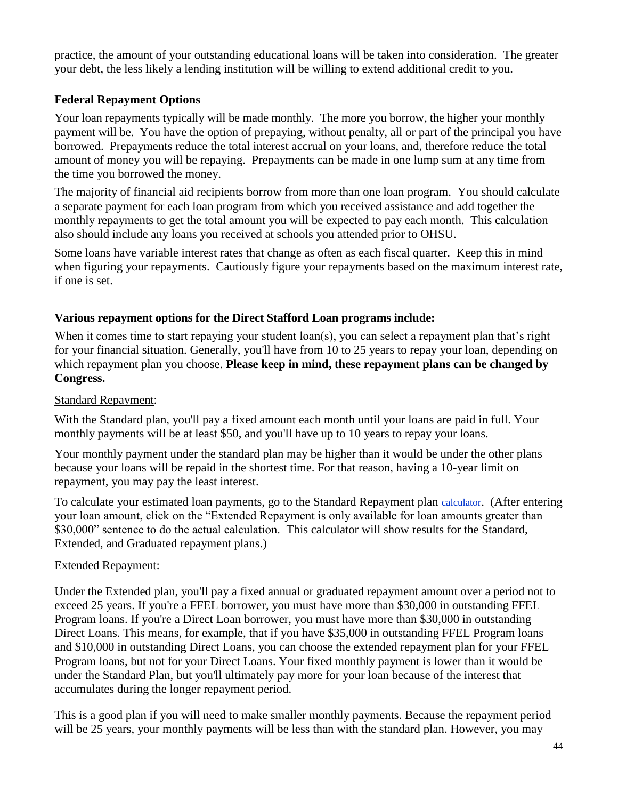practice, the amount of your outstanding educational loans will be taken into consideration. The greater your debt, the less likely a lending institution will be willing to extend additional credit to you.

#### <span id="page-43-0"></span>**Federal Repayment Options**

Your loan repayments typically will be made monthly. The more you borrow, the higher your monthly payment will be. You have the option of prepaying, without penalty, all or part of the principal you have borrowed. Prepayments reduce the total interest accrual on your loans, and, therefore reduce the total amount of money you will be repaying. Prepayments can be made in one lump sum at any time from the time you borrowed the money.

The majority of financial aid recipients borrow from more than one loan program. You should calculate a separate payment for each loan program from which you received assistance and add together the monthly repayments to get the total amount you will be expected to pay each month. This calculation also should include any loans you received at schools you attended prior to OHSU.

Some loans have variable interest rates that change as often as each fiscal quarter. Keep this in mind when figuring your repayments. Cautiously figure your repayments based on the maximum interest rate, if one is set.

#### **Various repayment options for the Direct Stafford Loan programs include:**

When it comes time to start repaying your student loan(s), you can select a repayment plan that's right for your financial situation. Generally, you'll have from 10 to 25 years to repay your loan, depending on which repayment plan you choose. **Please keep in mind, these repayment plans can be changed by Congress.**

#### Standard Repayment:

With the Standard plan, you'll pay a fixed amount each month until your loans are paid in full. Your monthly payments will be at least \$50, and you'll have up to 10 years to repay your loans.

Your monthly payment under the standard plan may be higher than it would be under the other plans because your loans will be repaid in the shortest time. For that reason, having a 10-year limit on repayment, you may pay the least interest.

To calculate your estimated loan payments, go to the Standard Repayment plan [calculator](http://studentaid.ed.gov/repay-loans/understand/plans/standard/comparison-calculator). (After entering your loan amount, click on the "Extended Repayment is only available for loan amounts greater than \$30,000" sentence to do the actual calculation. This calculator will show results for the Standard, Extended, and Graduated repayment plans.)

#### Extended Repayment:

Under the Extended plan, you'll pay a fixed annual or graduated repayment amount over a period not to exceed 25 years. If you're a FFEL borrower, you must have more than \$30,000 in outstanding FFEL Program loans. If you're a Direct Loan borrower, you must have more than \$30,000 in outstanding Direct Loans. This means, for example, that if you have \$35,000 in outstanding FFEL Program loans and \$10,000 in outstanding Direct Loans, you can choose the extended repayment plan for your FFEL Program loans, but not for your Direct Loans. Your fixed monthly payment is lower than it would be under the Standard Plan, but you'll ultimately pay more for your loan because of the interest that accumulates during the longer repayment period.

This is a good plan if you will need to make smaller monthly payments. Because the repayment period will be 25 years, your monthly payments will be less than with the standard plan. However, you may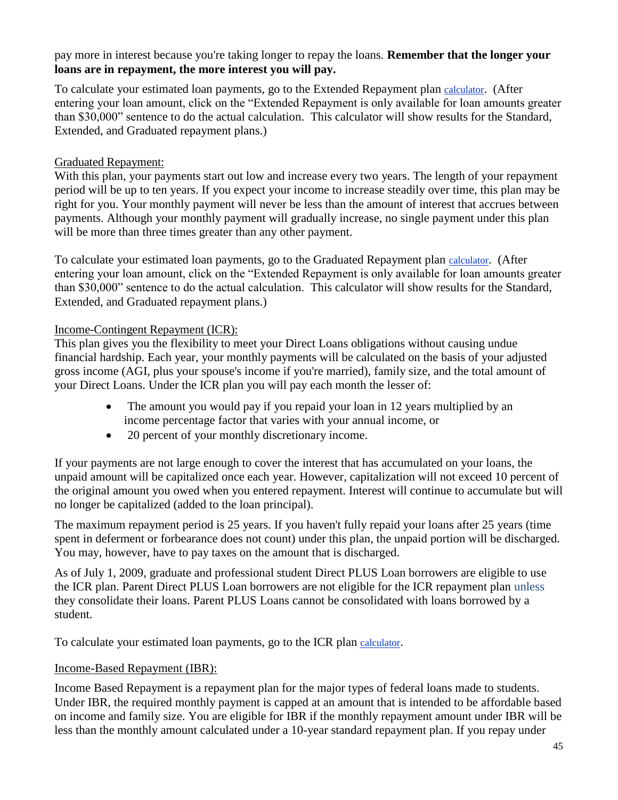pay more in interest because you're taking longer to repay the loans. **Remember that the longer your loans are in repayment, the more interest you will pay.**

To calculate your estimated loan payments, go to the Extended Repayment plan [calculator](http://studentaid.ed.gov/repay-loans/understand/plans/standard/comparison-calculator). (After entering your loan amount, click on the "Extended Repayment is only available for loan amounts greater than \$30,000" sentence to do the actual calculation. This calculator will show results for the Standard, Extended, and Graduated repayment plans.)

#### Graduated Repayment:

With this plan, your payments start out low and increase every two years. The length of your repayment period will be up to ten years. If you expect your income to increase steadily over time, this plan may be right for you. Your monthly payment will never be less than the amount of interest that accrues between payments. Although your monthly payment will gradually increase, no single payment under this plan will be more than three times greater than any other payment.

To calculate your estimated loan payments, go to the Graduated Repayment plan [calculator](http://studentaid.ed.gov/repay-loans/understand/plans/standard/comparison-calculator). (After entering your loan amount, click on the "Extended Repayment is only available for loan amounts greater than \$30,000" sentence to do the actual calculation. This calculator will show results for the Standard, Extended, and Graduated repayment plans.)

#### Income-Contingent Repayment (ICR):

This plan gives you the flexibility to meet your Direct Loans obligations without causing undue financial hardship. Each year, your monthly payments will be calculated on the basis of your adjusted gross income (AGI, plus your spouse's income if you're married), family size, and the total amount of your Direct Loans. Under the ICR plan you will pay each month the lesser of:

- The amount you would pay if you repaid your loan in 12 years multiplied by an income percentage factor that varies with your annual income, or
- 20 percent of your monthly discretionary income.

If your payments are not large enough to cover the interest that has accumulated on your loans, the unpaid amount will be capitalized once each year. However, capitalization will not exceed 10 percent of the original amount you owed when you entered repayment. Interest will continue to accumulate but will no longer be capitalized (added to the loan principal).

The maximum repayment period is 25 years. If you haven't fully repaid your loans after 25 years (time spent in deferment or forbearance does not count) under this plan, the unpaid portion will be discharged. You may, however, have to pay taxes on the amount that is discharged.

As of July 1, 2009, graduate and professional student Direct PLUS Loan borrowers are eligible to use the ICR plan. Parent Direct PLUS Loan borrowers are not eligible for the ICR repayment plan unless they consolidate their loans. Parent PLUS Loans cannot be consolidated with loans borrowed by a student.

To calculate your estimated loan payments, go to the ICR plan [calculator](http://studentaid.ed.gov/repay-loans/understand/plans/income-contingent/calculator).

#### Income-Based Repayment (IBR):

Income Based Repayment is a repayment plan for the major types of federal loans made to students. Under IBR, the required monthly payment is capped at an amount that is intended to be affordable based on income and family size. You are eligible for IBR if the monthly repayment amount under IBR will be less than the monthly amount calculated under a 10-year standard repayment plan. If you repay under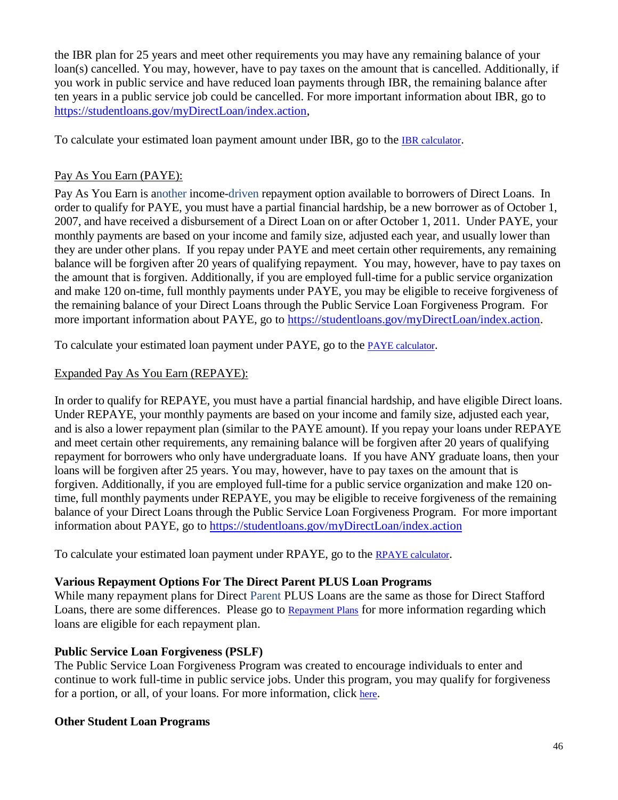the IBR plan for 25 years and meet other requirements you may have any remaining balance of your loan(s) cancelled. You may, however, have to pay taxes on the amount that is cancelled. Additionally, if you work in public service and have reduced loan payments through IBR, the remaining balance after ten years in a public service job could be cancelled. For more important information about IBR, go to [https://studentloans.gov/myDirectLoan/index.action,](https://studentloans.gov/myDirectLoan/index.action)

To calculate your estimated loan payment amount under IBR, go to the [IBR calculator](http://studentaid.ed.gov/repay-loans/understand/plans/income-based/calculator).

#### Pay As You Earn (PAYE):

Pay As You Earn is another income-driven repayment option available to borrowers of Direct Loans. In order to qualify for PAYE, you must have a partial financial hardship, be a new borrower as of October 1, 2007, and have received a disbursement of a Direct Loan on or after October 1, 2011. Under PAYE, your monthly payments are based on your income and family size, adjusted each year, and usually lower than they are under other plans. If you repay under PAYE and meet certain other requirements, any remaining balance will be forgiven after 20 years of qualifying repayment. You may, however, have to pay taxes on the amount that is forgiven. Additionally, if you are employed full-time for a public service organization and make 120 on-time, full monthly payments under PAYE, you may be eligible to receive forgiveness of the remaining balance of your Direct Loans through the Public Service Loan Forgiveness Program. For more important information about PAYE, go to [https://studentloans.gov/myDirectLoan/index.action.](https://studentloans.gov/myDirectLoan/index.action)

To calculate your estimated loan payment under PAYE, go to the [PAYE calculator](http://studentaid.ed.gov/repay-loans/understand/plans/pay-as-you-earn/calculator).

#### Expanded Pay As You Earn (REPAYE):

In order to qualify for REPAYE, you must have a partial financial hardship, and have eligible Direct loans. Under REPAYE, your monthly payments are based on your income and family size, adjusted each year, and is also a lower repayment plan (similar to the PAYE amount). If you repay your loans under REPAYE and meet certain other requirements, any remaining balance will be forgiven after 20 years of qualifying repayment for borrowers who only have undergraduate loans. If you have ANY graduate loans, then your loans will be forgiven after 25 years. You may, however, have to pay taxes on the amount that is forgiven. Additionally, if you are employed full-time for a public service organization and make 120 ontime, full monthly payments under REPAYE, you may be eligible to receive forgiveness of the remaining balance of your Direct Loans through the Public Service Loan Forgiveness Program. For more important information about PAYE, go to<https://studentloans.gov/myDirectLoan/index.action>

To calculate your estimated loan payment under RPAYE, go to the [RPAYE calculator](http://studentaid.ed.gov/repay-loans/understand/plans/pay-as-you-earn/calculator).

#### **Various Repayment Options For The Direct Parent PLUS Loan Programs**

While many repayment plans for Direct Parent PLUS Loans are the same as those for Direct Stafford Loans, there are some differences. Please go to [Repayment Plans](http://studentaid.ed.gov/repay-loans/understand/plans) for more information regarding which loans are eligible for each repayment plan.

#### **Public Service Loan Forgiveness (PSLF)**

The Public Service Loan Forgiveness Program was created to encourage individuals to enter and continue to work full-time in public service jobs. Under this program, you may qualify for forgiveness for a portion, or all, of your loans. For more information, click [here](http://studentaid.ed.gov/repay-loans/forgiveness-cancellation/charts/public-service).

#### **Other Student Loan Programs**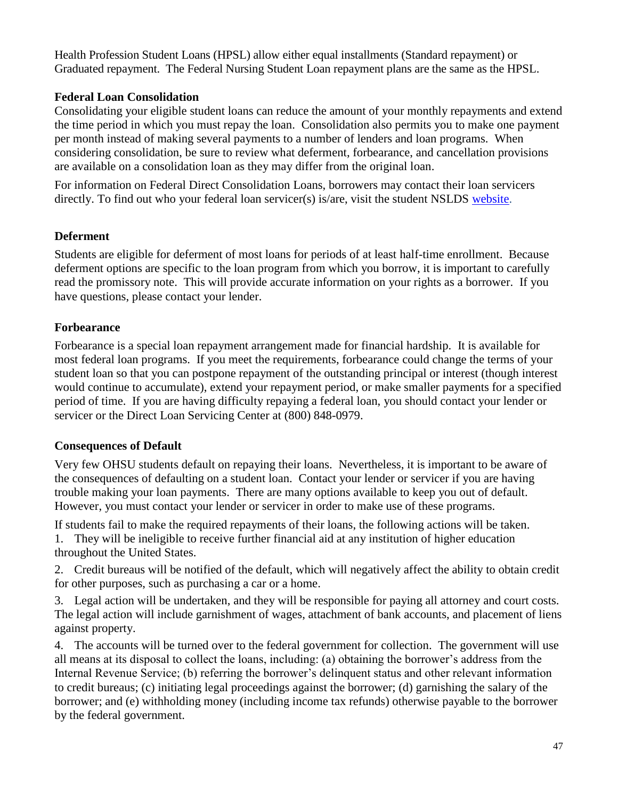Health Profession Student Loans (HPSL) allow either equal installments (Standard repayment) or Graduated repayment. The Federal Nursing Student Loan repayment plans are the same as the HPSL.

#### <span id="page-46-0"></span>**Federal Loan Consolidation**

Consolidating your eligible student loans can reduce the amount of your monthly repayments and extend the time period in which you must repay the loan. Consolidation also permits you to make one payment per month instead of making several payments to a number of lenders and loan programs. When considering consolidation, be sure to review what deferment, forbearance, and cancellation provisions are available on a consolidation loan as they may differ from the original loan.

<span id="page-46-1"></span>For information on Federal Direct Consolidation Loans, borrowers may contact their loan servicers directly. To find out who your federal loan servicer(s) is/are, visit the student NSLDS [website.](https://www.nslds.ed.gov/npas/index.htm)

#### **Deferment**

Students are eligible for deferment of most loans for periods of at least half-time enrollment. Because deferment options are specific to the loan program from which you borrow, it is important to carefully read the promissory note. This will provide accurate information on your rights as a borrower. If you have questions, please contact your lender.

#### <span id="page-46-2"></span>**Forbearance**

Forbearance is a special loan repayment arrangement made for financial hardship. It is available for most federal loan programs. If you meet the requirements, forbearance could change the terms of your student loan so that you can postpone repayment of the outstanding principal or interest (though interest would continue to accumulate), extend your repayment period, or make smaller payments for a specified period of time. If you are having difficulty repaying a federal loan, you should contact your lender or servicer or the Direct Loan Servicing Center at (800) 848-0979.

#### <span id="page-46-3"></span>**Consequences of Default**

Very few OHSU students default on repaying their loans. Nevertheless, it is important to be aware of the consequences of defaulting on a student loan. Contact your lender or servicer if you are having trouble making your loan payments. There are many options available to keep you out of default. However, you must contact your lender or servicer in order to make use of these programs.

If students fail to make the required repayments of their loans, the following actions will be taken.

1. They will be ineligible to receive further financial aid at any institution of higher education throughout the United States.

2. Credit bureaus will be notified of the default, which will negatively affect the ability to obtain credit for other purposes, such as purchasing a car or a home.

3. Legal action will be undertaken, and they will be responsible for paying all attorney and court costs. The legal action will include garnishment of wages, attachment of bank accounts, and placement of liens against property.

4. The accounts will be turned over to the federal government for collection. The government will use all means at its disposal to collect the loans, including: (a) obtaining the borrower's address from the Internal Revenue Service; (b) referring the borrower's delinquent status and other relevant information to credit bureaus; (c) initiating legal proceedings against the borrower; (d) garnishing the salary of the borrower; and (e) withholding money (including income tax refunds) otherwise payable to the borrower by the federal government.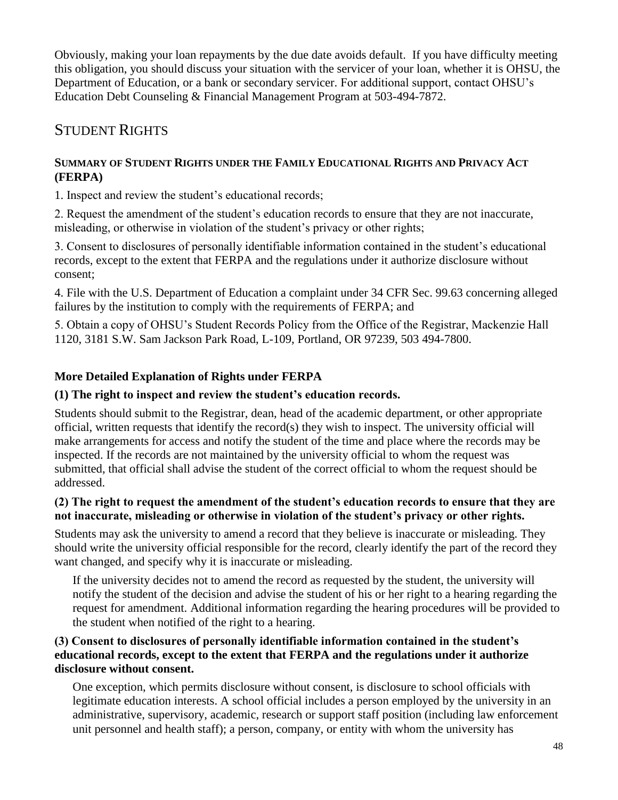Obviously, making your loan repayments by the due date avoids default. If you have difficulty meeting this obligation, you should discuss your situation with the servicer of your loan, whether it is OHSU, the Department of Education, or a bank or secondary servicer. For additional support, contact OHSU's Education Debt Counseling & Financial Management Program at 503-494-7872.

## STUDENT RIGHTS

#### <span id="page-47-0"></span>**SUMMARY OF STUDENT RIGHTS UNDER THE FAMILY EDUCATIONAL RIGHTS AND PRIVACY ACT (FERPA)**

1. Inspect and review the student's educational records;

2. Request the amendment of the student's education records to ensure that they are not inaccurate, misleading, or otherwise in violation of the student's privacy or other rights;

3. Consent to disclosures of personally identifiable information contained in the student's educational records, except to the extent that FERPA and the regulations under it authorize disclosure without consent;

4. File with the U.S. Department of Education a complaint under 34 CFR Sec. 99.63 concerning alleged failures by the institution to comply with the requirements of FERPA; and

5. Obtain a copy of OHSU's Student Records Policy from the Office of the Registrar, Mackenzie Hall 1120, 3181 S.W. Sam Jackson Park Road, L-109, Portland, OR 97239, 503 494-7800.

## **More Detailed Explanation of Rights under FERPA**

### **(1) The right to inspect and review the student's education records.**

Students should submit to the Registrar, dean, head of the academic department, or other appropriate official, written requests that identify the record(s) they wish to inspect. The university official will make arrangements for access and notify the student of the time and place where the records may be inspected. If the records are not maintained by the university official to whom the request was submitted, that official shall advise the student of the correct official to whom the request should be addressed.

#### **(2) The right to request the amendment of the student's education records to ensure that they are not inaccurate, misleading or otherwise in violation of the student's privacy or other rights.**

Students may ask the university to amend a record that they believe is inaccurate or misleading. They should write the university official responsible for the record, clearly identify the part of the record they want changed, and specify why it is inaccurate or misleading.

If the university decides not to amend the record as requested by the student, the university will notify the student of the decision and advise the student of his or her right to a hearing regarding the request for amendment. Additional information regarding the hearing procedures will be provided to the student when notified of the right to a hearing.

#### **(3) Consent to disclosures of personally identifiable information contained in the student's educational records, except to the extent that FERPA and the regulations under it authorize disclosure without consent.**

One exception, which permits disclosure without consent, is disclosure to school officials with legitimate education interests. A school official includes a person employed by the university in an administrative, supervisory, academic, research or support staff position (including law enforcement unit personnel and health staff); a person, company, or entity with whom the university has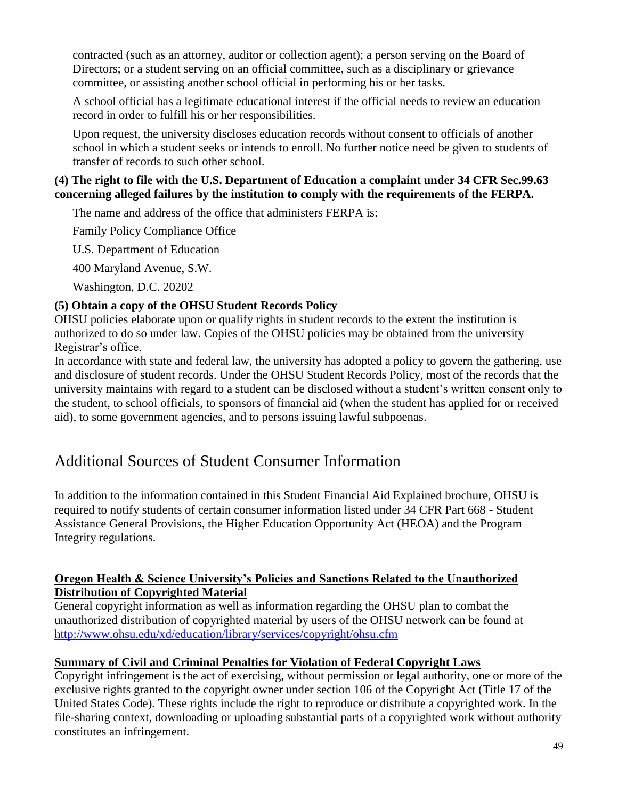contracted (such as an attorney, auditor or collection agent); a person serving on the Board of Directors; or a student serving on an official committee, such as a disciplinary or grievance committee, or assisting another school official in performing his or her tasks.

A school official has a legitimate educational interest if the official needs to review an education record in order to fulfill his or her responsibilities.

Upon request, the university discloses education records without consent to officials of another school in which a student seeks or intends to enroll. No further notice need be given to students of transfer of records to such other school.

#### **(4) The right to file with the U.S. Department of Education a complaint under 34 CFR Sec.99.63 concerning alleged failures by the institution to comply with the requirements of the FERPA.**

The name and address of the office that administers FERPA is:

Family Policy Compliance Office

U.S. Department of Education

400 Maryland Avenue, S.W.

Washington, D.C. 20202

#### <span id="page-48-0"></span>**(5) Obtain a copy of the OHSU Student Records Policy**

OHSU policies elaborate upon or qualify rights in student records to the extent the institution is authorized to do so under law. Copies of the OHSU policies may be obtained from the university Registrar's office.

In accordance with state and federal law, the university has adopted a policy to govern the gathering, use and disclosure of student records. Under the OHSU Student Records Policy, most of the records that the university maintains with regard to a student can be disclosed without a student's written consent only to the student, to school officials, to sponsors of financial aid (when the student has applied for or received aid), to some government agencies, and to persons issuing lawful subpoenas.

## Additional Sources of Student Consumer Information

In addition to the information contained in this Student Financial Aid Explained brochure, OHSU is required to notify students of certain consumer information listed under 34 CFR Part 668 - Student Assistance General Provisions, the Higher Education Opportunity Act (HEOA) and the Program Integrity regulations.

#### **Oregon Health & Science University's Policies and Sanctions Related to the Unauthorized Distribution of Copyrighted Material**

General copyright information as well as information regarding the OHSU plan to combat the unauthorized distribution of copyrighted material by users of the OHSU network can be found at <http://www.ohsu.edu/xd/education/library/services/copyright/ohsu.cfm>

#### **Summary of Civil and Criminal Penalties for Violation of Federal Copyright Laws**

Copyright infringement is the act of exercising, without permission or legal authority, one or more of the exclusive rights granted to the copyright owner under section 106 of the Copyright Act (Title 17 of the United States Code). These rights include the right to reproduce or distribute a copyrighted work. In the file-sharing context, downloading or uploading substantial parts of a copyrighted work without authority constitutes an infringement.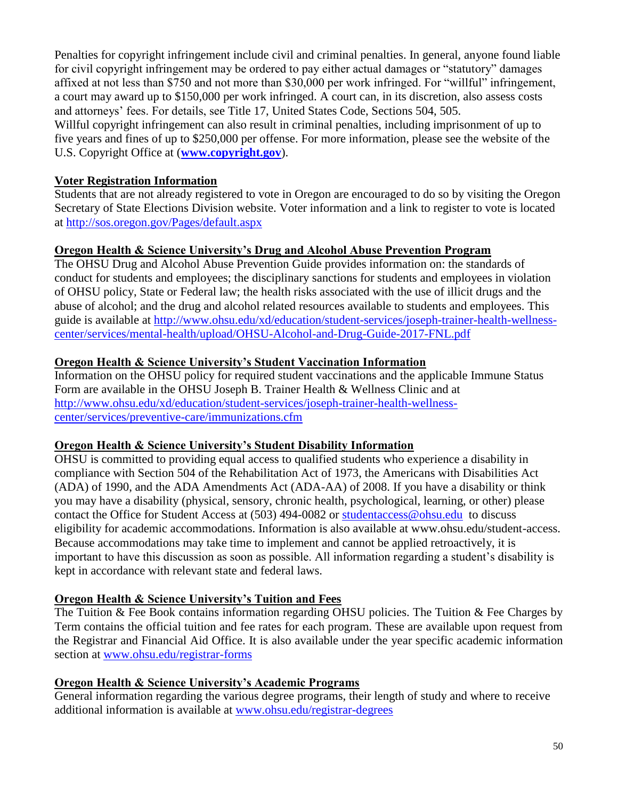Penalties for copyright infringement include civil and criminal penalties. In general, anyone found liable for civil copyright infringement may be ordered to pay either actual damages or "statutory" damages affixed at not less than \$750 and not more than \$30,000 per work infringed. For "willful" infringement, a court may award up to \$150,000 per work infringed. A court can, in its discretion, also assess costs and attorneys' fees. For details, see Title 17, United States Code, Sections 504, 505.

Willful copyright infringement can also result in criminal penalties, including imprisonment of up to five years and fines of up to \$250,000 per offense. For more information, please see the website of the U.S. Copyright Office at (**[www.copyright.gov](http://www.copyright.gov/)**).

#### **Voter Registration Information**

Students that are not already registered to vote in Oregon are encouraged to do so by visiting the Oregon Secretary of State Elections Division website. Voter information and a link to register to vote is located at<http://sos.oregon.gov/Pages/default.aspx>

#### **Oregon Health & Science University's Drug and Alcohol Abuse Prevention Program**

The OHSU Drug and Alcohol Abuse Prevention Guide provides information on: the standards of conduct for students and employees; the disciplinary sanctions for students and employees in violation of OHSU policy, State or Federal law; the health risks associated with the use of illicit drugs and the abuse of alcohol; and the drug and alcohol related resources available to students and employees. This guide is available at [http://www.ohsu.edu/xd/education/student-services/joseph-trainer-health-wellness](http://www.ohsu.edu/xd/education/student-services/joseph-trainer-health-wellness-center/services/mental-health/upload/OHSU-Alcohol-and-Drug-Guide-2017-FNL.pdf)[center/services/mental-health/upload/OHSU-Alcohol-and-Drug-Guide-2017-FNL.pdf](http://www.ohsu.edu/xd/education/student-services/joseph-trainer-health-wellness-center/services/mental-health/upload/OHSU-Alcohol-and-Drug-Guide-2017-FNL.pdf)

#### **Oregon Health & Science University's Student Vaccination Information**

Information on the OHSU policy for required student vaccinations and the applicable Immune Status Form are available in the OHSU Joseph B. Trainer Health & Wellness Clinic and at [http://www.ohsu.edu/xd/education/student-services/joseph-trainer-health-wellness](http://www.ohsu.edu/xd/education/student-services/joseph-trainer-health-wellness-center/services/preventive-care/immunizations.cfm)[center/services/preventive-care/immunizations.cfm](http://www.ohsu.edu/xd/education/student-services/joseph-trainer-health-wellness-center/services/preventive-care/immunizations.cfm)

#### **Oregon Health & Science University's Student Disability Information**

OHSU is committed to providing equal access to qualified students who experience a disability in compliance with Section 504 of the Rehabilitation Act of 1973, the Americans with Disabilities Act (ADA) of 1990, and the ADA Amendments Act (ADA-AA) of 2008. If you have a disability or think you may have a disability (physical, sensory, chronic health, psychological, learning, or other) please contact the Office for Student Access at (503) 494-0082 or [studentaccess@ohsu.edu](mailto:studentaccess@ohsu.edu) to discuss eligibility for academic accommodations. Information is also available at www.ohsu.edu/student-access. Because accommodations may take time to implement and cannot be applied retroactively, it is important to have this discussion as soon as possible. All information regarding a student's disability is kept in accordance with relevant state and federal laws.

#### **Oregon Health & Science University's Tuition and Fees**

The Tuition & Fee Book contains information regarding OHSU policies. The Tuition & Fee Charges by Term contains the official tuition and fee rates for each program. These are available upon request from the Registrar and Financial Aid Office. It is also available under the year specific academic information section at [www.ohsu.edu/registrar-forms](http://www.ohsu.edu/registrar-forms)

#### **Oregon Health & Science University's Academic Programs**

General information regarding the various degree programs, their length of study and where to receive additional information is available at [www.ohsu.edu/registrar-degrees](http://www.ohsu.edu/registrar-degrees)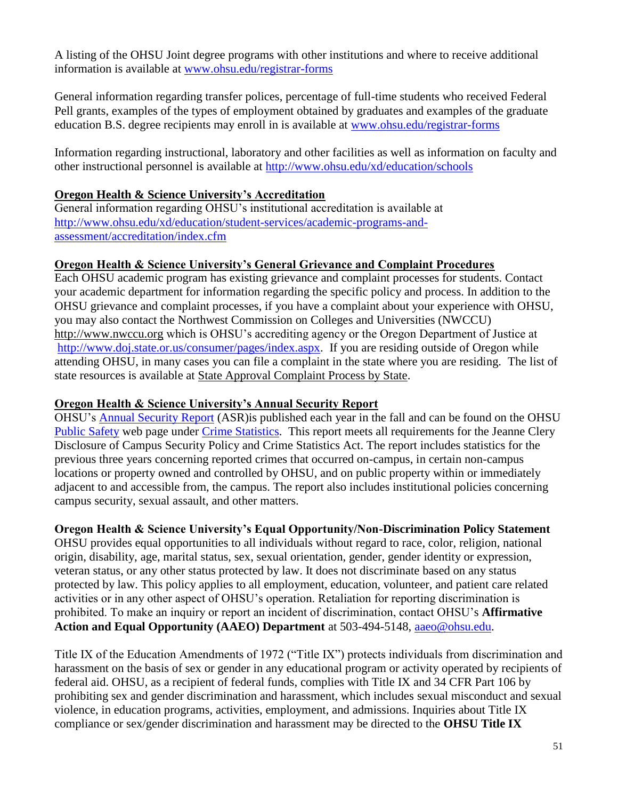A listing of the OHSU Joint degree programs with other institutions and where to receive additional information is available at [www.ohsu.edu/registrar-forms](http://www.ohsu.edu/registrar-forms)

General information regarding transfer polices, percentage of full-time students who received Federal Pell grants, examples of the types of employment obtained by graduates and examples of the graduate education B.S. degree recipients may enroll in is available at [www.ohsu.edu/registrar-forms](http://www.ohsu.edu/registrar-forms)

Information regarding instructional, laboratory and other facilities as well as information on faculty and other instructional personnel is available at<http://www.ohsu.edu/xd/education/schools>

#### **Oregon Health & Science University's Accreditation**

General information regarding OHSU's institutional accreditation is available at [http://www.ohsu.edu/xd/education/student-services/academic-programs-and](http://www.ohsu.edu/xd/education/student-services/academic-programs-and-assessment/accreditation/index.cfm)[assessment/accreditation/index.cfm](http://www.ohsu.edu/xd/education/student-services/academic-programs-and-assessment/accreditation/index.cfm)

#### **Oregon Health & Science University's General Grievance and Complaint Procedures**

Each OHSU academic program has existing grievance and complaint processes for students. Contact your academic department for information regarding the specific policy and process. In addition to the OHSU grievance and complaint processes, if you have a complaint about your experience with OHSU, you may also contact the Northwest Commission on Colleges and Universities (NWCCU) [http://www.nwccu.org](http://www.nwccu.org/) which is OHSU's accrediting agency or the Oregon Department of Justice at [http://www.doj.state.or.us/consumer/pages/index.aspx.](http://www.doj.state.or.us/consumer/pages/index.aspx) If you are residing outside of Oregon while attending OHSU, in many cases you can file a complaint in the state where you are residing. The list of state resources is available at [State Approval Complaint Process by State.](http://www.ohsu.edu/xd/education/student-services/state-complaint-process.cfm)

#### **Oregon Health & Science University's Annual Security Report**

OHSU's [Annual Security Report](https://www.ohsu.edu/xd/about/services/public-safety/crime-statistics/annual-security-report.cfm) (ASR)is published each year in the fall and can be found on the OHSU [Public Safety](http://www.ohsu.edu/xd/about/services/public-safety/index.cfm?WT_rank=1) web page under [Crime Statistics.](http://www.ohsu.edu/xd/about/services/public-safety/crime-statistics/index.cfm) This report meets all requirements for the Jeanne Clery Disclosure of Campus Security Policy and Crime Statistics Act. The report includes statistics for the previous three years concerning reported crimes that occurred on-campus, in certain non-campus locations or property owned and controlled by OHSU, and on public property within or immediately adjacent to and accessible from, the campus. The report also includes institutional policies concerning campus security, sexual assault, and other matters.

#### **Oregon Health & Science University's Equal Opportunity/Non-Discrimination Policy Statement**

OHSU provides equal opportunities to all individuals without regard to race, color, religion, national origin, disability, age, marital status, sex, sexual orientation, gender, gender identity or expression, veteran status, or any other status protected by law. It does not discriminate based on any status protected by law. This policy applies to all employment, education, volunteer, and patient care related activities or in any other aspect of OHSU's operation. Retaliation for reporting discrimination is prohibited. To make an inquiry or report an incident of discrimination, contact OHSU's **Affirmative Action and Equal Opportunity (AAEO) Department** at 503-494-5148, [aaeo@ohsu.edu.](mailto:aaeo@ohsu.edu)

Title IX of the Education Amendments of 1972 ("Title IX") protects individuals from discrimination and harassment on the basis of sex or gender in any educational program or activity operated by recipients of federal aid. OHSU, as a recipient of federal funds, complies with Title IX and 34 CFR Part 106 by prohibiting sex and gender discrimination and harassment, which includes sexual misconduct and sexual violence, in education programs, activities, employment, and admissions. Inquiries about Title IX compliance or sex/gender discrimination and harassment may be directed to the **OHSU Title IX**